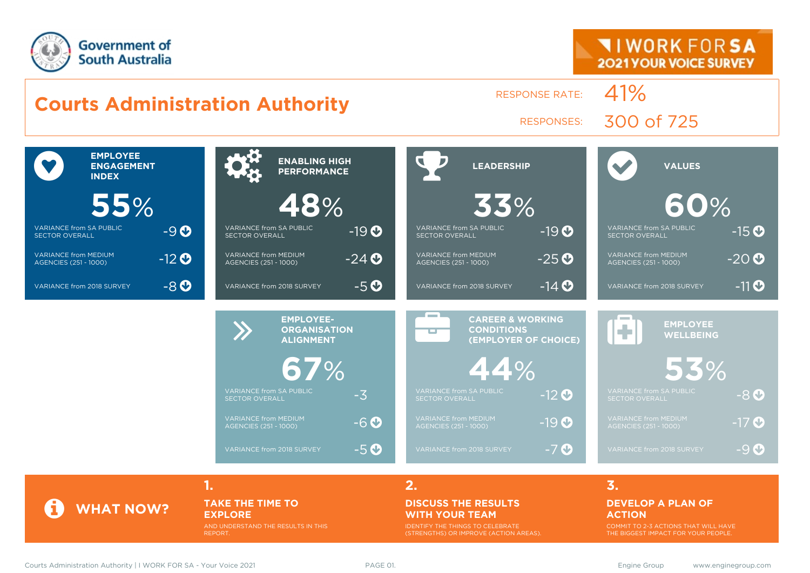



**TAKE THE TIME TO EXPLORE**

AND UNDERSTAND THE RESULTS IN THIS REPORT.

#### **DISCUSS THE RESULTS WITH YOUR TEAM**

IDENTIFY THE THINGS TO CELEBRATE (STRENGTHS) OR IMPROVE (ACTION AREAS).

#### **DEVELOP A PLAN OF ACTION**

COMMIT TO 2-3 ACTIONS THAT WILL HAVE THE BIGGEST IMPACT FOR YOUR PEOPLE.

**WHAT NOW?**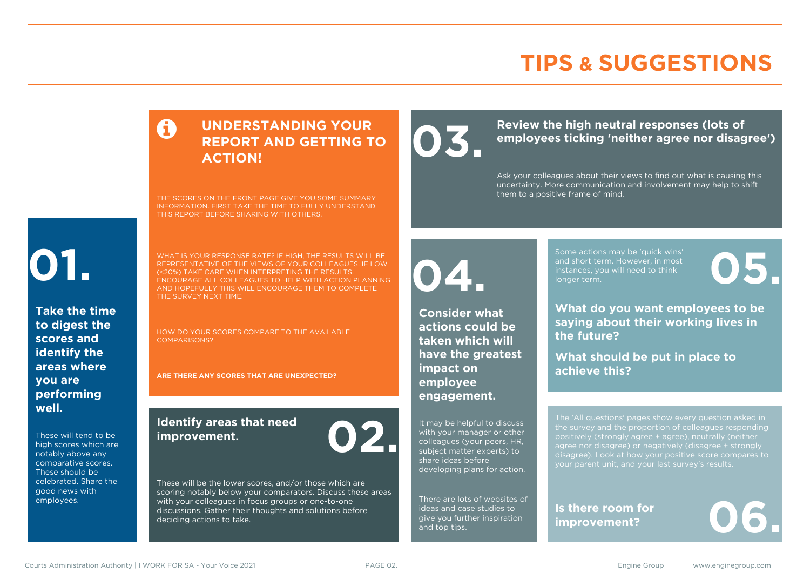### **TIPS & SUGGESTIONS**

#### **UNDERSTANDING YOUR REPORT AND GETTING TO ACTION!**

THE SCORES ON THE FRONT PAGE GIVE YOU SOME SUMMARY INFORMATION. FIRST TAKE THE TIME TO FULLY UNDERSTAND THIS REPORT BEFORE SHARING WITH OTHERS.

# **01.**

**Take the time to digest the scores and identify the areas where you are performing well.**

These will tend to be high scores which are notably above any comparative scores. These should be celebrated. Share the good news with employees.

WHAT IS YOUR RESPONSE RATE? IF HIGH, THE RESULTS WILL BE REPRESENTATIVE OF THE VIEWS OF YOUR COLLEAGUES. IF LOW (<20%) TAKE CARE WHEN INTERPRETING THE RESULTS. ENCOURAGE ALL COLLEAGUES TO HELP WITH ACTION PLANNING AND HOPEFULLY THIS WILL ENCOURAGE THEM TO COMPLETE THE SURVEY NEXT TIME.

HOW DO YOUR SCORES COMPARE TO THE AVAILABLE COMPARISONS?

**ARE THERE ANY SCORES THAT ARE UNEXPECTED?**

#### **Identify areas that need improvement. 02.**

These will be the lower scores, and/or those which are scoring notably below your comparators. Discuss these areas with your colleagues in focus groups or one-to-one discussions. Gather their thoughts and solutions before deciding actions to take.

Review the high neutral responses (lots of employees ticking 'neither agree nor disag **employees ticking 'neither agree nor disagree')**

> Ask your colleagues about their views to find out what is causing this uncertainty. More communication and involvement may help to shift them to a positive frame of mind.

**04.**

**Consider what actions could be taken which will have the greatest impact on employee engagement.**

It may be helpful to discuss with your manager or other colleagues (your peers, HR, subject matter experts) to share ideas before developing plans for action.

There are lots of websites of ideas and case studies to give you further inspiration and top tips.

Some actions may be 'quick wins' and short term. However, in most instances, you will need to think Some actions may be 'quick wins'<br>and short term. However, in most<br>instances, you will need to think<br>longer term.

**What do you want employees to be saying about their working lives in the future?**

**What should be put in place to achieve this?**

The 'All questions' pages show every question asked in positively (strongly agree + agree), neutrally (neither agree nor disagree) or negatively (disagree + strongly disagree). Look at how your positive score compares to your parent unit, and your last survey's results.

**Is there room for**  Is there room for<br>improvement?

Courts Administration Authority | I WORK FOR SA - Your Voice 2021 **PAGE 02.** PAGE 02. Engine Group www.enginegroup.com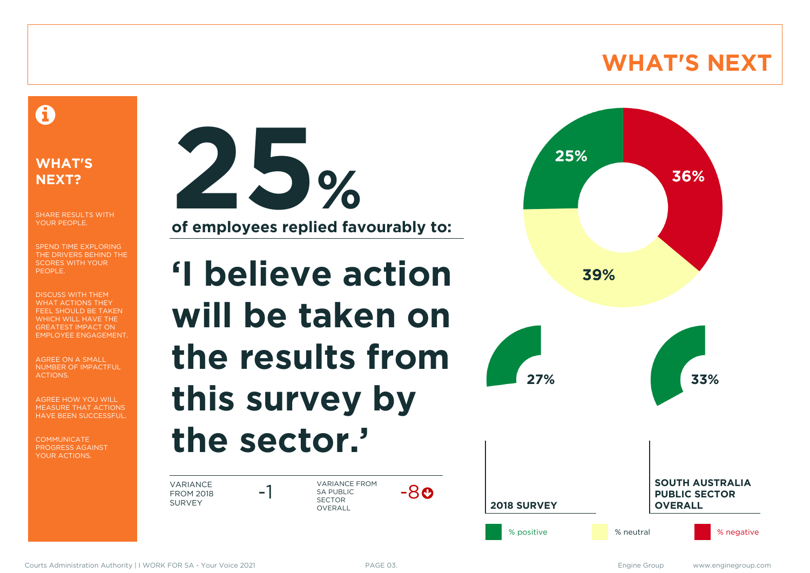### **WHAT'S NEXT**

#### A

#### **WHAT'S NEXT?**

SHARE RESULTS WITH YOUR PEOPLE.

SPEND TIME EXPLORING THE DRIVERS BEHIND THE SCORES WITH YOUR PEOPLE.

DISCUSS WITH THEM WHAT ACTIONS THEY FEEL SHOULD BE TAKEN WHICH WILL HAVE THE GREATEST IMPACT ON EMPLOYEE ENGAGEMENT.

AGREE ON A SMALL NUMBER OF IMPACTFUL ACTIONS.

AGREE HOW YOU WILL MEASURE THAT ACTIONS HAVE BEEN SUCCESSFUL.

**COMMUNICATE** PROGRESS AGAINST YOUR ACTIONS.



**'I believe action will be taken on the results from this survey by the sector.'**

VARIANCE FROM 2018 SURVEY

**-1** VARIANCE FROM<br>SA PUBLIC SA PUBLIC SECTOR **OVERALL** 



-8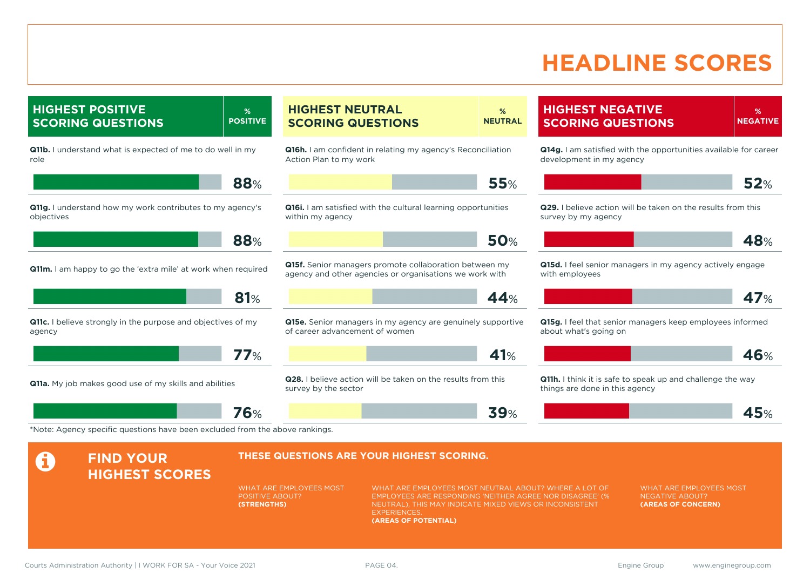### **HEADLINE SCORES**

**HIGHEST POSITIVE SCORING QUESTIONS % POSITIVE Q11b.** I understand what is expected of me to do well in my role **88**% **Q11g.** I understand how my work contributes to my agency's objectives **88**% **Q11m.** I am happy to go the 'extra mile' at work when required **81**% **Q11c.** I believe strongly in the purpose and objectives of my agency **77**% **Q11a.** My job makes good use of my skills and abilities **76**% **HIGHEST NEUTRAL SCORING QUESTIONS % NEUTRAL Q16h.** I am confident in relating my agency's Reconciliation Action Plan to my work **55**% **Q16i.** I am satisfied with the cultural learning opportunities within my agency **50**% **Q15f.** Senior managers promote collaboration between my agency and other agencies or organisations we work with **44**% **Q15e.** Senior managers in my agency are genuinely supportive of career advancement of women **41**% **Q28.** I believe action will be taken on the results from this survey by the sector **39**% **HIGHEST NEGATIVE SCORING QUESTIONS % NEGATIVE Q14g.** I am satisfied with the opportunities available for career development in my agency **52**% **Q29.** I believe action will be taken on the results from this survey by my agency **48**% **Q15d.** I feel senior managers in my agency actively engage with employees **47**% **Q15g.** I feel that senior managers keep employees informed about what's going on **46**% **Q11h.** I think it is safe to speak up and challenge the way things are done in this agency **45**% \*Note: Agency specific questions have been excluded from the above rankings. **A** FIND YOUR **HIGHEST SCORES THESE QUESTIONS ARE YOUR HIGHEST SCORING.** WHAT ARE EMPLOYEES MOST POSITIVE ABOUT? **(STRENGTHS)** WHAT ARE EMPLOYEES MOST NEUTRAL ABOUT? WHERE A LOT OF EMPLOYEES ARE RESPONDING 'NEITHER AGREE NOR DISAGREE' (% NEUTRAL), THIS MAY INDICATE MIXED VIEWS OR INCONSISTENT **EXPERIENCES (AREAS OF POTENTIAL)** WHAT ARE EMPLOYEES MOST NEGATIVE ABOUT? **(AREAS OF CONCERN)**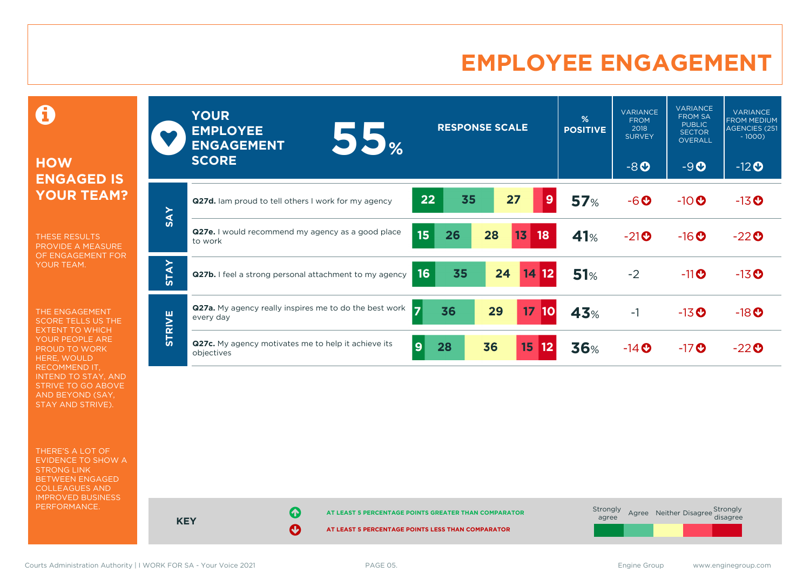### **EMPLOYEE ENGAGEMENT**

0

#### **HOW ENGAGED IS YOUR TEAM?**

THESE RESULTS PROVIDE A MEASURE OF ENGAGEMENT FOR YOUR TEAM.

THE ENGAGEMENT SCORE TELLS US THE EXTENT TO WHICH YOUR PEOPLE ARE PROUD TO WORK HERE, WOULD RECOMMEND IT, INTEND TO STAY, AND STRIVE TO GO ABOVE AND BEYOND (SAY, STAY AND STRIVE).

THERE'S A LOT OF EVIDENCE TO SHOW A STRONG LINK BETWEEN ENGAGED COLLEAGUES AND IMPROVED BUSINESS PERFORMANCE.

|               | <b>YOUR</b><br><b>EMPLOYEE</b><br>55%<br><b>ENGAGEMENT</b>          | <b>RESPONSE SCALE</b>                   | $\frac{9}{6}$<br><b>POSITIVE</b> | <b>VARIANCE</b><br><b>FROM</b><br>2018<br><b>SURVEY</b> | <b>VARIANCE</b><br><b>FROM SA</b><br><b>PUBLIC</b><br><b>SECTOR</b><br><b>OVERALL</b> | <b>VARIANCE</b><br><b>FROM MEDIUM</b><br><b>AGENCIES (251</b><br>$-1000$ ) |
|---------------|---------------------------------------------------------------------|-----------------------------------------|----------------------------------|---------------------------------------------------------|---------------------------------------------------------------------------------------|----------------------------------------------------------------------------|
|               | <b>SCORE</b>                                                        |                                         |                                  | $-8O$                                                   | $-9O$                                                                                 | $-12$ <b>O</b>                                                             |
| <b>SAY</b>    | Q27d. Iam proud to tell others I work for my agency                 | 35<br>27<br>22<br>9                     | <b>57%</b>                       | $-6o$                                                   | $-10$                                                                                 | $-13$ <sup>O</sup>                                                         |
|               | <b>Q27e.</b> I would recommend my agency as a good place<br>to work | 15<br>26<br>28<br>13<br>18              | 41%                              | $-21$ <sup>O</sup>                                      | $-16$ <sup>O</sup>                                                                    | $-22$ <sup>O</sup>                                                         |
| <b>STAY</b>   | Q27b. I feel a strong personal attachment to my agency              | 35<br>24<br>16<br>14 12                 | 51%                              | $-2$                                                    | $-11$ <sup>O</sup>                                                                    | $-13$ <sup>O</sup>                                                         |
| <b>STRIVE</b> | Q27a. My agency really inspires me to do the best work<br>every day | 17<br>36<br>29<br>17<br>10              | 43%                              | $-1$                                                    | $-13$ <sup>O</sup>                                                                    | $-18$ <sup>O</sup>                                                         |
|               | Q27c. My agency motivates me to help it achieve its<br>objectives   | $\overline{9}$<br>36<br>15<br>28<br> 12 | <b>36%</b>                       | $-14$ $\odot$                                           | $-17$ $\odot$                                                                         | $-22$ <sup>O</sup>                                                         |

**KEY AT LEAST 5 PERCENTAGE POINTS GREATER THAN COMPARATOR AT LEAST 5 PERCENTAGE POINTS LESS THAN COMPARATOR** Strongly agree Agree Neither Disagree Strongly<br>disagree

Courts Administration Authority | I WORK FOR SA - Your Voice 2021 **PAGE 05.** PAGE 05. Engine Group www.enginegroup.com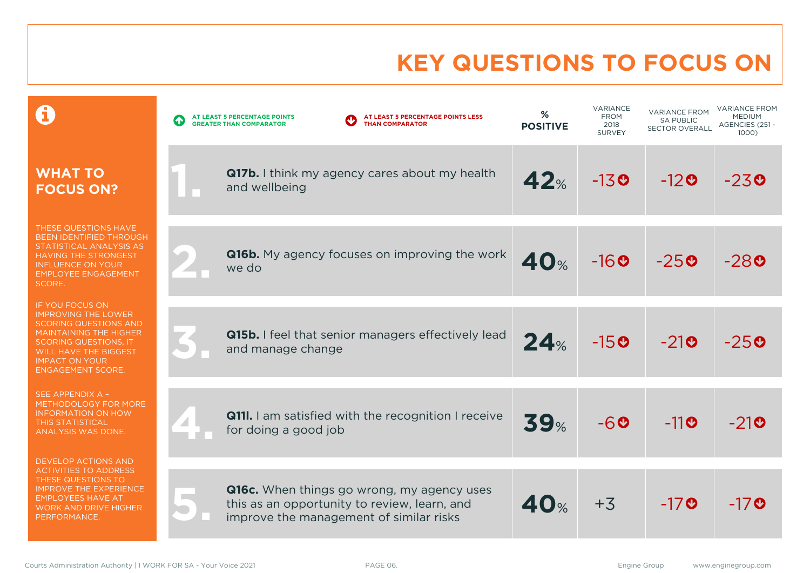# **KEY QUESTIONS TO FOCUS ON**

|                                                                                                                                                                                                                                            | AT LEAST 5 PERCENTAGE POINTS LESS<br>AT LEAST 5 PERCENTAGE POINTS<br><b>GREATER THAN COMPARATOR</b><br><b>THAN COMPARATOR</b>         | %<br><b>POSITIVE</b> | <b>VARIANCE</b><br><b>FROM</b><br>2018<br><b>SURVEY</b> | <b>VARIANCE FROM</b><br><b>SA PUBLIC</b><br><b>SECTOR OVERALL</b> | <b>VARIANCE FROM</b><br><b>MEDIUM</b><br>AGENCIES (251 -<br>1000) |
|--------------------------------------------------------------------------------------------------------------------------------------------------------------------------------------------------------------------------------------------|---------------------------------------------------------------------------------------------------------------------------------------|----------------------|---------------------------------------------------------|-------------------------------------------------------------------|-------------------------------------------------------------------|
| <b>WHAT TO</b><br><b>FOCUS ON?</b>                                                                                                                                                                                                         | <b>Q17b.</b> I think my agency cares about my health<br>and wellbeing                                                                 | 42%                  | $-130$                                                  | $-120$                                                            | $-23$ <sup><math>\odot</math></sup>                               |
| THESE QUESTIONS HAVE<br><b>BEEN IDENTIFIED THROUGH</b><br>STATISTICAL ANALYSIS AS<br>HAVING THE STRONGEST<br><b>INFLUENCE ON YOUR</b><br><b>EMPLOYEE ENGAGEMENT</b><br>SCORE.                                                              | <b>Q16b.</b> My agency focuses on improving the work<br>we do                                                                         | 40 <sub>%</sub>      | $-160$                                                  | $-250$                                                            | $-28$ 0                                                           |
| <b>IF YOU FOCUS ON</b><br><b>IMPROVING THE LOWER</b><br><b>SCORING QUESTIONS AND</b><br><b>MAINTAINING THE HIGHER</b><br><b>SCORING QUESTIONS, IT</b><br><b>WILL HAVE THE BIGGEST</b><br><b>IMPACT ON YOUR</b><br><b>ENGAGEMENT SCORE.</b> | Q15b. I feel that senior managers effectively lead<br>and manage change                                                               | 24%                  | $-15o$                                                  | $-21$ <sup><math>\odot</math></sup>                               | $-25$ 0                                                           |
| SEE APPENDIX A -<br>METHODOLOGY FOR MORE<br><b>INFORMATION ON HOW</b><br><b>THIS STATISTICAL</b><br>ANALYSIS WAS DONE.                                                                                                                     | <b>Q111.</b> I am satisfied with the recognition I receive<br>for doing a good job                                                    | 39 <sub>%</sub>      | -60                                                     | $-11$ 0                                                           | $-210$                                                            |
| DEVELOP ACTIONS AND<br><b>ACTIVITIES TO ADDRESS</b><br>THESE QUESTIONS TO<br><b>IMPROVE THE EXPERIENCE</b><br><b>EMPLOYEES HAVE AT</b><br><b>WORK AND DRIVE HIGHER</b><br>PERFORMANCE.                                                     | Q16c. When things go wrong, my agency uses<br>this as an opportunity to review, learn, and<br>improve the management of similar risks | 40 <sub>%</sub>      | $+3$                                                    | $-17$ <b>O</b>                                                    | $-17$ <b>O</b>                                                    |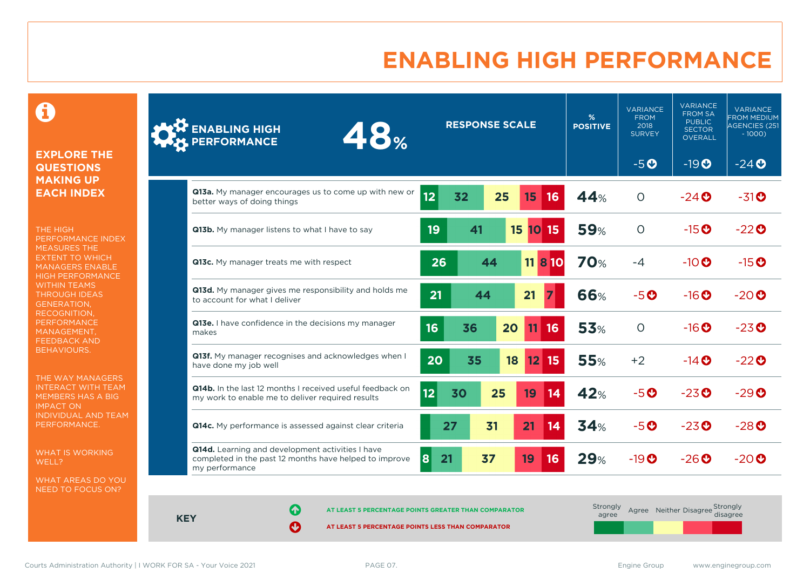### **ENABLING HIGH PERFORMANCE**

 $\mathbf \Theta$ 

#### **EXPLORE THE QUESTIONS MAKING UP EACH INDEX**

THE HIGH PERFORMANCE INDEX MEASURES THE EXTENT TO WHICH MANAGERS ENABLE HIGH PERFORMANCE WITHIN TEAMS THROUGH IDEAS GENERATION, RECOGNITION, **PERFORMANCE** MANAGEMENT, FEEDBACK AND BEHAVIOURS.

THE WAY MANAGERS INTERACT WITH TEAM MEMBERS HAS A BIG IMPACT ON INDIVIDUAL AND TEAM PERFORMANCE.

WHAT IS WORKING WELL?

WHAT AREAS DO YOU NEED TO FOCUS ON?

| <b>ENABLING HIGH</b><br>48%<br>PERFORMANCE                                                                                   |                 | <b>RESPONSE SCALE</b> |    |             | %<br><b>POSITIVE</b> | <b>VARIANCE</b><br><b>FROM</b><br>2018<br><b>SURVEY</b> | <b>VARIANCE</b><br><b>FROM SA</b><br><b>PUBLIC</b><br><b>SECTOR</b><br><b>OVERALL</b> | <b>VARIANCE</b><br><b>FROM MEDIUM</b><br><b>AGENCIES (251</b><br>$-1000$ |
|------------------------------------------------------------------------------------------------------------------------------|-----------------|-----------------------|----|-------------|----------------------|---------------------------------------------------------|---------------------------------------------------------------------------------------|--------------------------------------------------------------------------|
|                                                                                                                              |                 |                       |    |             |                      | $-5o$                                                   | $-19O$                                                                                | $-24$ <sup>O</sup>                                                       |
| Q13a. My manager encourages us to come up with new or<br>better ways of doing things                                         | 12 <sub>2</sub> | 32                    | 25 | 15<br>16    | 44%                  | $\circ$                                                 | $-24$ <sup><math>\odot</math></sup>                                                   | $-31$ <sup>O</sup>                                                       |
| Q13b. My manager listens to what I have to say                                                                               | 19              | 41                    |    | 15<br>10 15 | <b>59%</b>           | $\circ$                                                 | $-15$ <sup>O</sup>                                                                    | $-22$ <sup>O</sup>                                                       |
| Q13c. My manager treats me with respect                                                                                      | 26              | 44                    |    | 11 8 10     | <b>70%</b>           | $-4$                                                    | $-10$ $\odot$                                                                         | $-15$ <sup>O</sup>                                                       |
| Q13d. My manager gives me responsibility and holds me<br>to account for what I deliver                                       | 21              | 44                    |    | 21          | <b>66%</b>           | $-5o$                                                   | $-16$ <sup>O</sup>                                                                    | $-20$ <sup>O</sup>                                                       |
| Q13e. I have confidence in the decisions my manager<br>makes                                                                 | 16              | 36                    | 20 | 11<br>16    | <b>53%</b>           | $\Omega$                                                | $-16$ <sup>O</sup>                                                                    | $-23$ <sup>O</sup>                                                       |
| Q13f. My manager recognises and acknowledges when I<br>have done my job well                                                 | 20              | 35                    | 18 | 12<br>15    | <b>55%</b>           | $+2$                                                    | $-14$ $\odot$                                                                         | $-22$ <sup>O</sup>                                                       |
| <b>Q14b.</b> In the last 12 months I received useful feedback on<br>my work to enable me to deliver required results         | 12              | 30                    | 25 | 19<br>14    | 42%                  | $-5o$                                                   | $-23o$                                                                                | $-29$ <sup>O</sup>                                                       |
| Q14c. My performance is assessed against clear criteria                                                                      |                 | 27                    | 31 | 21<br>14    | 34%                  | $-5o$                                                   | $-23$ <sup>O</sup>                                                                    | $-28$ <sup>O</sup>                                                       |
| Q14d. Learning and development activities I have<br>completed in the past 12 months have helped to improve<br>my performance | 8<br>21         | 37                    |    | 19<br>16    | 29%                  | $-19$ <sup>O</sup>                                      | $-26$ <sup>O</sup>                                                                    | $-20$ <sup>O</sup>                                                       |

**KEY**

**AT LEAST 5 PERCENTAGE POINTS GREATER THAN COMPARATOR** 

| Strongly<br>agree |  | Agree Neither Disagree Strongly<br>disagree |
|-------------------|--|---------------------------------------------|
|                   |  |                                             |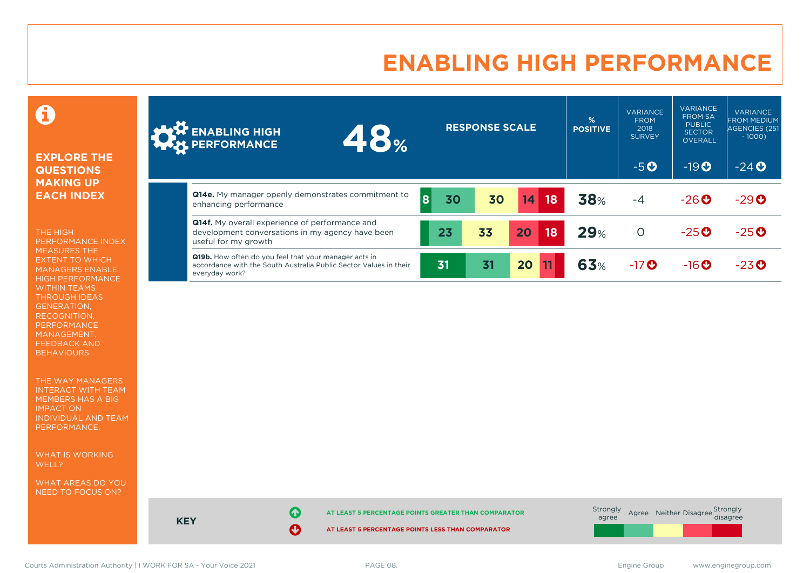### **ENABLING HIGH PERFORMANCE**

#### Ô

#### **EXPLORE THE QUESTIONS MAKING UP EACH INDEX**

THE HIGH PERFORMANCE INDEX MEASURES THE EXTENT TO WHICH MANAGERS ENABLE HIGH PERFORMANCE WITHIN TEAMS THROUGH IDEAS GENERATION, RECOGNITION, PERFORMANCE MANAGEMENT, FEEDBACK AND BEHAVIOURS.

THE WAY MANAGERS INTERACT WITH TEAM MEMBERS HAS A BIG IMPACT ON INDIVIDUAL AND TEAM PERFORMANCE.

WHAT IS WORKING WELL?

WHAT AREAS DO YOU NEED TO FOCUS ON?

| <b>ARTA ENABLING HIGH</b><br><b>ANY PERFORMANCE</b>                                                                                          | 4.8% |         | <b>RESPONSE SCALE</b> |    |    | $\frac{9}{6}$<br><b>POSITIVE</b> | <b>VARIANCE</b><br><b>FROM</b><br>2018<br><b>SURVEY</b> | <b>FROM SA</b><br><b>PUBLIC</b><br><b>SECTOR</b><br><b>OVERALL</b> | <b>VARIANCE</b><br><b>FROM MEDIUM</b><br>AGENCIES (251<br>$-1000$ |
|----------------------------------------------------------------------------------------------------------------------------------------------|------|---------|-----------------------|----|----|----------------------------------|---------------------------------------------------------|--------------------------------------------------------------------|-------------------------------------------------------------------|
|                                                                                                                                              |      |         |                       |    |    |                                  | $-5o$                                                   | $-190$                                                             | $-24$                                                             |
| Q14e. My manager openly demonstrates commitment to<br>enhancing performance                                                                  |      | 8<br>30 | 30                    | 14 | 18 | 38%                              | $-4$                                                    | $-26$                                                              | $-29O$                                                            |
| <b>Q14f.</b> My overall experience of performance and<br>development conversations in my agency have been<br>useful for my growth            |      | 23      | 33                    | 20 | 18 | 29%                              | $\circ$                                                 | $-25$ <sup><math>\odot</math></sup>                                | $-25$ <sup>O</sup>                                                |
| Q19b. How often do you feel that your manager acts in<br>accordance with the South Australia Public Sector Values in their<br>everyday work? |      | 31      | 31                    | 20 |    | 63%                              | $-17$ <sup>O</sup>                                      | $-16$ $\odot$                                                      | $-23$ <sup>O</sup>                                                |



**KEY**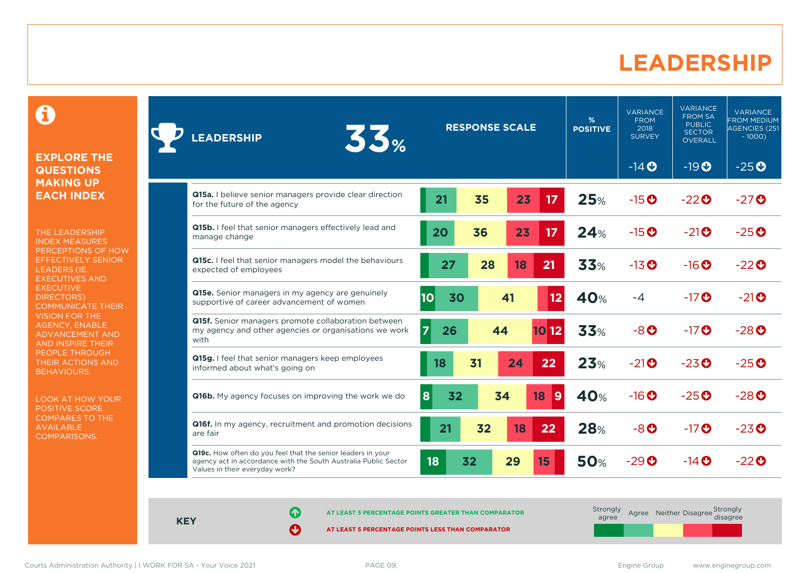#### **LEADERSHIP**

0

#### **EXPLORE THE QUESTIONS MAKING UP EACH INDEX**

THE LEADERSHIP INDEX MEASURES PERCEPTIONS OF HOW EFFECTIVELY SENIOR LEADERS (IE. EXECUTIVES AND **EXECUTIVE** DIRECTORS) COMMUNICATE THEIR VISION FOR THE AGENCY, ENABLE ADVANCEMENT AND AND INSPIRE THEIR PEOPLE THROUGH THEIR ACTIONS AND BEHAVIOURS.

LOOK AT HOW YOUR POSITIVE SCORE COMPARES TO THE AVAILABLE COMPARISONS.

| 33 <sub><br/><b>EADERSHIP</b></sub>                                                                                                                              |                      | <b>RESPONSE SCALE</b> |    |         | %<br><b>POSITIVE</b> | <b>VARIANCE</b><br><b>FROM</b><br>2018<br><b>SURVEY</b> | <b>VARIANCE</b><br><b>FROM SA</b><br><b>PUBLIC</b><br><b>SECTOR</b><br>OVERALL | <b>VARIANCE</b><br><b>FROM MEDIUM</b><br><b>AGENCIES (251</b><br>$-1000$ |
|------------------------------------------------------------------------------------------------------------------------------------------------------------------|----------------------|-----------------------|----|---------|----------------------|---------------------------------------------------------|--------------------------------------------------------------------------------|--------------------------------------------------------------------------|
|                                                                                                                                                                  |                      |                       |    |         |                      | $-14$ <b>O</b>                                          | $-19O$                                                                         | $-25O$                                                                   |
| Q15a. I believe senior managers provide clear direction<br>for the future of the agency                                                                          | 21                   | 35                    | 23 | 17      | 25%                  | $-15$ <sup>O</sup>                                      | $-22o$                                                                         | $-27$ <sup>O</sup>                                                       |
| Q15b. I feel that senior managers effectively lead and<br>manage change                                                                                          | 20                   | 36                    | 23 | 17      | 24%                  | $-15$ <sup>O</sup>                                      | $-21$ <sup>O</sup>                                                             | $-25$ <sup><math>\odot</math></sup>                                      |
| Q15c. I feel that senior managers model the behaviours<br>expected of employees                                                                                  | 27                   | 28                    | 18 | 21      | 33%                  | $-13$ <sup>O</sup>                                      | $-16$ <sup>O</sup>                                                             | $-22$ <sup>O</sup>                                                       |
| Q15e. Senior managers in my agency are genuinely<br>supportive of career advancement of women                                                                    | 10<br>30             |                       | 41 | 12      | 40%                  | $-4$                                                    | $-17$ <sup>O</sup>                                                             | $-21$ <sup>O</sup>                                                       |
| Q15f. Senior managers promote collaboration between<br>my agency and other agencies or organisations we work<br>with                                             | $\overline{7}$<br>26 | 44                    |    | 1012    | 33%                  | $-8o$                                                   | $-17$ <sup>O</sup>                                                             | $-28$ <sup>O</sup>                                                       |
| Q15g. I feel that senior managers keep employees<br>informed about what's going on                                                                               | 18                   | 31                    | 24 | 22      | 23%                  | $-21$ <sup>O</sup>                                      | $-23$ <sup>O</sup>                                                             | $-25$ <sup><math>\odot</math></sup>                                      |
| <b>Q16b.</b> My agency focuses on improving the work we do                                                                                                       | 8<br>32              | 34                    |    | 9<br>18 | 40%                  | $-16$ <sup>O</sup>                                      | $-25$ <sup><math>\odot</math></sup>                                            | $-28$ <sup><math>\odot</math></sup>                                      |
| Q16f. In my agency, recruitment and promotion decisions<br>are fair                                                                                              | 21                   | 32                    | 18 | 22      | 28%                  | $-8o$                                                   | $-17$ <sup>O</sup>                                                             | $-23$ <sup>O</sup>                                                       |
| Q19c. How often do you feel that the senior leaders in your<br>agency act in accordance with the South Australia Public Sector<br>Values in their everyday work? | 18                   | 32                    | 29 | 15      | <b>50%</b>           | $-29$ <sup><math>\odot</math></sup>                     | $-14$ $\odot$                                                                  | $-22$ <sup>O</sup>                                                       |

**KEY**

**AT LEAST 5 PERCENTAGE POINTS GREATER THAN COMPARATOR**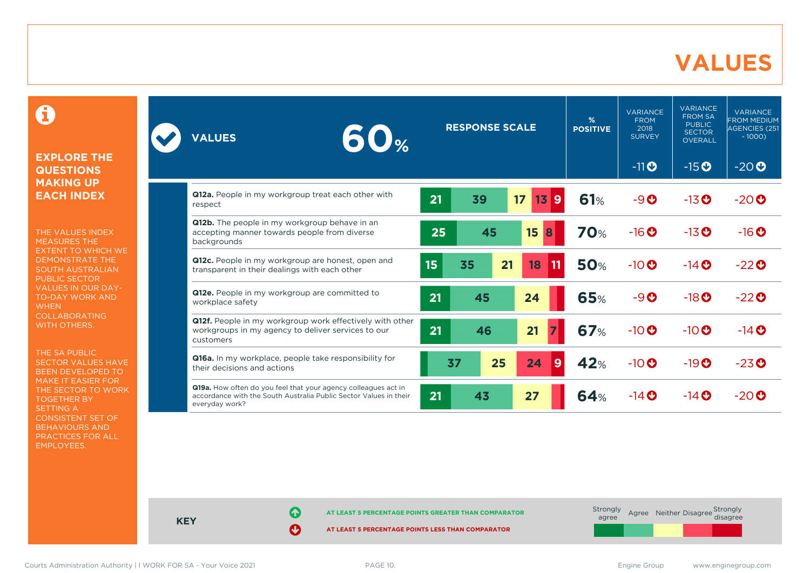#### **VALUES**

0

#### **EXPLORE THE QUESTIONS MAKING UP EACH INDEX**

THE VALUES INDEX MEASURES THE EXTENT TO WHICH WE DEMONSTRATE THE SOUTH AUSTRALIAN PUBLIC SECTOR VALUES IN OUR DAY-TO-DAY WORK AND **WHEN** COLLABORATING WITH OTHERS.

THE SA PUBLIC SECTOR VALUES HAVE BEEN DEVELOPED TO MAKE IT EASIER FOR THE SECTOR TO WORK TOGETHER BY SETTING A CONSISTENT SET OF BEHAVIOURS AND PRACTICES FOR ALL EMPLOYEES.

| 60 <sub>%</sub><br><b>VALUES</b>                                                                                                                      |    | <b>RESPONSE SCALE</b> |                               | %<br><b>POSITIVE</b> | <b>VARIANCE</b><br><b>FROM</b><br>2018<br><b>SURVEY</b> | <b>VARIANCE</b><br><b>FROM SA</b><br><b>PUBLIC</b><br><b>SECTOR</b><br><b>OVERALL</b> | <b>VARIANCE</b><br><b>FROM MEDIUM</b><br>AGENCIES (251<br>$-1000$ |
|-------------------------------------------------------------------------------------------------------------------------------------------------------|----|-----------------------|-------------------------------|----------------------|---------------------------------------------------------|---------------------------------------------------------------------------------------|-------------------------------------------------------------------|
|                                                                                                                                                       |    |                       |                               |                      | $-11$ O                                                 | $-15o$                                                                                | $-20O$                                                            |
| Q12a. People in my workgroup treat each other with<br>respect                                                                                         | 21 | 39                    | 17<br>13<br>$\mathbf{\Theta}$ | 61%                  | $-9O$                                                   | $-13$ <sup>O</sup>                                                                    | $-20$                                                             |
| Q12b. The people in my workgroup behave in an<br>accepting manner towards people from diverse<br>backgrounds                                          | 25 | 45                    | 15<br>8                       | <b>70%</b>           | $-16$ <sup>O</sup>                                      | $-13$ <sup>O</sup>                                                                    | $-16$ <sup>O</sup>                                                |
| Q12c. People in my workgroup are honest, open and<br>transparent in their dealings with each other                                                    | 15 | 35<br>21              | 18<br>11                      | <b>50%</b>           | $-10$ $\odot$                                           | $-14$ <b>O</b>                                                                        | $-22$ <sup>O</sup>                                                |
| Q12e. People in my workgroup are committed to<br>workplace safety                                                                                     | 21 | 45                    | 24                            | <b>65%</b>           | $-9O$                                                   | $-18$ <sup>O</sup>                                                                    | $-22$ <sup>O</sup>                                                |
| Q12f. People in my workgroup work effectively with other<br>workgroups in my agency to deliver services to our<br>customers                           | 21 | 46                    | 21                            | 67%                  | $-10$                                                   | $-10$ <sup>O</sup>                                                                    | $-14$ $\odot$                                                     |
| <b>Q16a.</b> In my workplace, people take responsibility for<br>their decisions and actions                                                           | 37 | 25                    | 24<br>9                       | 42%                  | $-10$ $\odot$                                           | $-19O$                                                                                | $-23$ <sup>O</sup>                                                |
| Q19a. How often do you feel that your agency colleagues act in<br>accordance with the South Australia Public Sector Values in their<br>everyday work? | 21 | 43                    | 27                            | <b>64%</b>           | $-14$ $\odot$                                           | $-14$ <sup>O</sup>                                                                    | $-20$ $\odot$                                                     |



**KEY**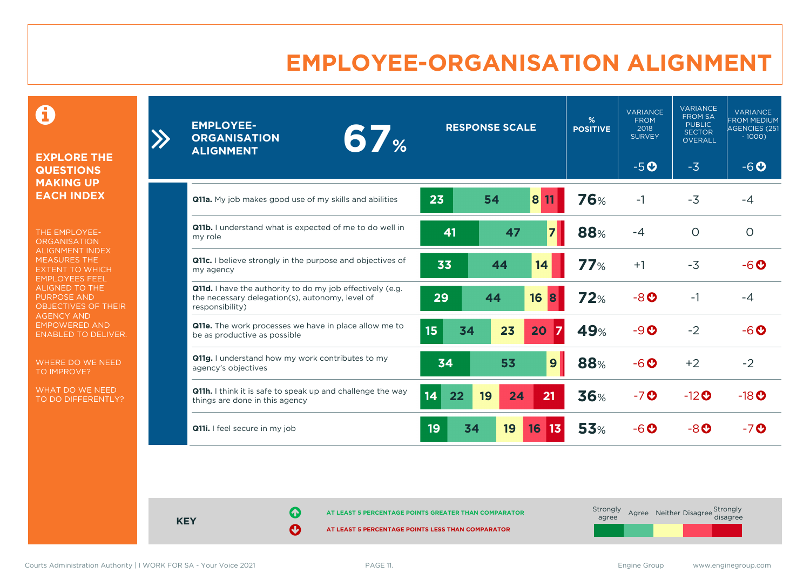### **EMPLOYEE-ORGANISATION ALIGNMENT**

0

#### **EXPLORE THE QUESTIONS MAKING UP EACH INDEX**

 $\sum_{i=1}^{n}$ 

THE EMPLOYEE-**ORGANISATION** ALIGNMENT INDEX MEASURES THE EXTENT TO WHICH EMPLOYEES FEEL ALIGNED TO THE PURPOSE AND OBJECTIVES OF THEIR AGENCY AND EMPOWERED AND ENABLED TO DELIVER.

WHERE DO WE NEED TO IMPROVE?

WHAT DO WE NEED TO DO DIFFERENTLY?

| <b>EMPLOYEE-</b><br><b>ORGANISATION</b><br><b>ALIGNMENT</b>                                                                     | <b>67%</b> |          | <b>RESPONSE SCALE</b> |                         | %<br><b>POSITIVE</b> | <b>VARIANCE</b><br><b>FROM</b><br>2018<br><b>SURVEY</b> | <b>VARIANCE</b><br><b>FROM SA</b><br><b>PUBLIC</b><br><b>SECTOR</b><br><b>OVERALL</b> | <b>VARIANCE</b><br><b>FROM MEDIUM</b><br>AGENCIES (251<br>$-1000$ |
|---------------------------------------------------------------------------------------------------------------------------------|------------|----------|-----------------------|-------------------------|----------------------|---------------------------------------------------------|---------------------------------------------------------------------------------------|-------------------------------------------------------------------|
|                                                                                                                                 |            |          |                       |                         |                      | $-5o$                                                   | $-3$                                                                                  | $-6o$                                                             |
| Q11a. My job makes good use of my skills and abilities                                                                          |            | 23       | 54                    | 8 <br>11                | <b>76%</b>           | $-1$                                                    | $-3$                                                                                  | $-4$                                                              |
| <b>Q11b.</b> I understand what is expected of me to do well in<br>my role                                                       |            | 41       | 47                    | $\overline{\mathbf{z}}$ | 88%                  | $-4$                                                    | $\Omega$                                                                              | $\circ$                                                           |
| Q11c. I believe strongly in the purpose and objectives of<br>my agency                                                          |            | 33       | 44                    | 14                      | 77%                  | $+1$                                                    | $-3$                                                                                  | $-6o$                                                             |
| Q11d. I have the authority to do my job effectively (e.g.<br>the necessary delegation(s), autonomy, level of<br>responsibility) |            | 29       | 44                    | 16<br>8                 | 72%                  | $-8o$                                                   | $-1$                                                                                  | $-4$                                                              |
| Q11e. The work processes we have in place allow me to<br>be as productive as possible                                           |            | 15<br>34 | 23                    | 20                      | 49%                  | $-9O$                                                   | $-2$                                                                                  | $-6$ $\odot$                                                      |
| Q11g. I understand how my work contributes to my<br>agency's objectives                                                         |            | 34       | 53                    | 9 <sup>°</sup>          | 88%                  | $-6o$                                                   | $+2$                                                                                  | $-2$                                                              |
| Q11h. I think it is safe to speak up and challenge the way<br>things are done in this agency                                    |            | 14<br>22 | 19<br>24              | 21                      | 36%                  | $-7o$                                                   | $-12$ <sup>O</sup>                                                                    | $-18$ <sup>O</sup>                                                |
| Q11i. I feel secure in my job                                                                                                   |            | 19<br>34 | 19                    | 16<br>  13              | 53%                  | $-6$ $\odot$                                            | $-8$ $O$                                                                              | -70                                                               |

**KEY**

**AT LEAST 5 PERCENTAGE POINTS GREATER THAN COMPARATOR**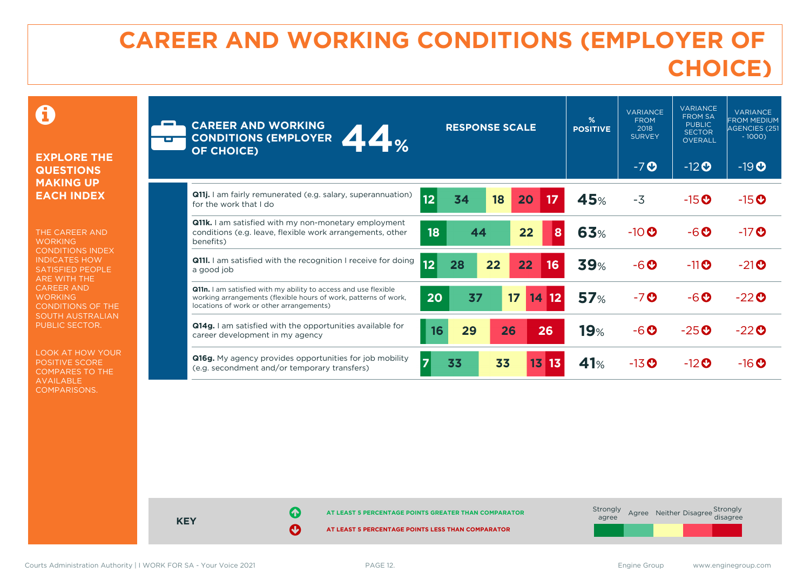### **CAREER AND WORKING CONDITIONS (EMPLOYER OF CHOICE)**

 $\mathbf \Theta$ 

#### **EXPLORE THE QUESTIONS MAKING UP EACH INDEX**

THE CAREER AND **WORKING** CONDITIONS INDEX INDICATES HOW SATISFIED PEOPLE ARE WITH THE CAREER AND **WORKING** CONDITIONS OF THE SOUTH AUSTRALIAN PUBLIC SECTOR.

LOOK AT HOW YOUR POSITIVE SCORE COMPARES TO THE AVAILABLE COMPARISONS.

| о          | <b>CAREER AND WORKING</b><br><b>CONDITIONS (EMPLOYER</b><br><b>OF CHOICE)</b>                                                                                                         | 14% |                      | <b>RESPONSE SCALE</b> |            | %<br><b>POSITIVE</b> | <b>VARIANCE</b><br><b>FROM</b><br>2018<br><b>SURVEY</b> | <b>VARIANCE</b><br><b>FROM SA</b><br><b>PUBLIC</b><br><b>SECTOR</b><br><b>OVERALL</b> | <b>VARIANCE</b><br><b>FROM MEDIUM</b><br><b>AGENCIES (251</b><br>$-1000$ |
|------------|---------------------------------------------------------------------------------------------------------------------------------------------------------------------------------------|-----|----------------------|-----------------------|------------|----------------------|---------------------------------------------------------|---------------------------------------------------------------------------------------|--------------------------------------------------------------------------|
|            |                                                                                                                                                                                       |     |                      |                       |            |                      | $-7O$                                                   | $-12$ <b>O</b>                                                                        | $-19O$                                                                   |
|            | <b>Q11j.</b> I am fairly remunerated (e.g. salary, superannuation)<br>for the work that I do                                                                                          |     | 12<br>34             | 18                    | 20<br>17   | <b>45%</b>           | $-3$                                                    | $-15$ <sup>O</sup>                                                                    | $-15$ <sup>O</sup>                                                       |
| benefits)  | <b>Q11k.</b> I am satisfied with my non-monetary employment<br>conditions (e.g. leave, flexible work arrangements, other                                                              |     | 18                   | 44                    | 22<br>8    | 63%                  | $-10$ <sup>O</sup>                                      | $-6$ $\odot$                                                                          | $-17$ <sup>O</sup>                                                       |
| a good job | <b>Q11.</b> I am satisfied with the recognition I receive for doing                                                                                                                   |     | 12<br>28             | 22                    | 22<br>16   | <b>39%</b>           | -60                                                     | $-11$ <sup>O</sup>                                                                    | $-21$ <sup>O</sup>                                                       |
|            | <b>Q11n.</b> I am satisfied with my ability to access and use flexible<br>working arrangements (flexible hours of work, patterns of work,<br>locations of work or other arrangements) |     | 20<br>37             | 17                    | 14<br>  12 | <b>57%</b>           | $-7$ $\odot$                                            | -60                                                                                   | $-22$ <sup>O</sup>                                                       |
|            | <b>Q14g.</b> I am satisfied with the opportunities available for<br>career development in my agency                                                                                   |     | 16<br>29             | 26                    | 26         | <b>19%</b>           | -60                                                     | $-25$ <sup>O</sup>                                                                    | $-22$ <sup>O</sup>                                                       |
|            | <b>Q16g.</b> My agency provides opportunities for job mobility<br>(e.g. secondment and/or temporary transfers)                                                                        |     | $\overline{7}$<br>33 | 33                    | 13<br>13   | 41%                  | $-13$ <sup>O</sup>                                      | $-12$ <sup>O</sup>                                                                    | $-16$ <sup>O</sup>                                                       |

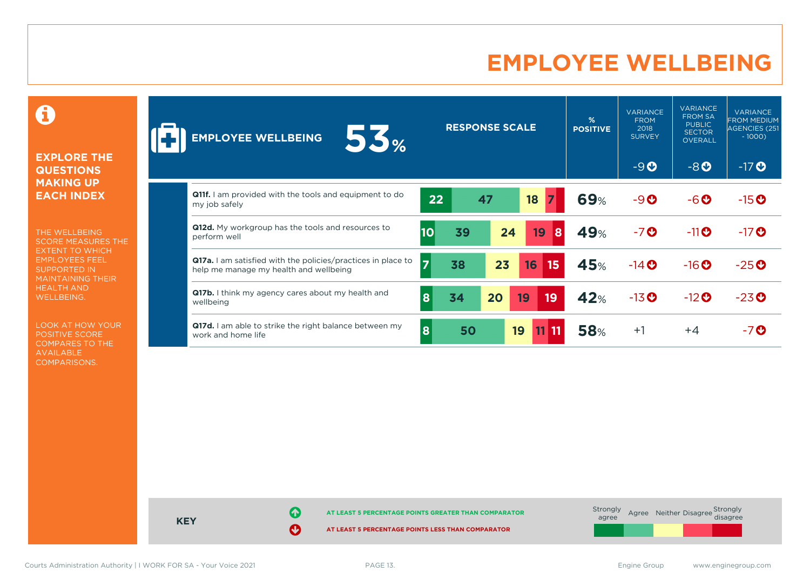### **EMPLOYEE WELLBEING**

**EXPLORE THE QUESTIONS MAKING UP EACH INDEX**

0

THE WELLBEING SCORE MEASURES THE EXTENT TO WHICH EMPLOYEES FEEL SUPPORTED IN MAINTAINING THEIR HEALTH AND WELLBEING.

LOOK AT HOW YOUR POSITIVE SCORE COMPARES TO THE AVAILABLE COMPARISONS.

| 55%<br><b>EMPLOYEE WELLBEING</b>                                                                       |          |    | <b>RESPONSE SCALE</b> |    |                  | $\frac{9}{6}$<br><b>POSITIVE</b> | <b>VARIANCE</b><br><b>FROM</b><br>2018<br><b>SURVEY</b> | <b>VARIANCE</b><br><b>FROM SA</b><br><b>PUBLIC</b><br><b>SECTOR</b><br><b>OVERALL</b> | <b>VARIANCE</b><br><b>FROM MEDIUM</b><br>AGENCIES (251<br>$-1000$ ) |
|--------------------------------------------------------------------------------------------------------|----------|----|-----------------------|----|------------------|----------------------------------|---------------------------------------------------------|---------------------------------------------------------------------------------------|---------------------------------------------------------------------|
|                                                                                                        |          |    |                       |    |                  |                                  | $-9O$                                                   | $-8O$                                                                                 | $-17O$                                                              |
| <b>Q11f.</b> I am provided with the tools and equipment to do<br>my job safely                         | 22       |    | 47                    | 18 |                  | <b>69%</b>                       | $-9O$                                                   | $-6o$                                                                                 | $-15o$                                                              |
| Q12d. My workgroup has the tools and resources to<br>perform well                                      | 10       | 39 | 24                    |    | 19<br>8          | <b>49%</b>                       | $-7o$                                                   | $-11$ <sup>O</sup>                                                                    | $-17$ <sup>O</sup>                                                  |
| Q17a. I am satisfied with the policies/practices in place to<br>help me manage my health and wellbeing | 7        | 38 | 23                    | 16 | 15 <sub>15</sub> | 45%                              | $-14$ <sup>O</sup>                                      | $-16o$                                                                                | $-25o$                                                              |
| Q17b. I think my agency cares about my health and<br>wellbeing                                         | 8        | 34 | 20                    | 19 | 19               | 42%                              | $-13$ <sup>O</sup>                                      | $-12$ <sup>O</sup>                                                                    | $-23$ <sup>O</sup>                                                  |
| Q17d. I am able to strike the right balance between my<br>work and home life                           | $\bf{8}$ | 50 |                       | 19 |                  | <b>58%</b>                       | $+1$                                                    | $+4$                                                                                  | -70                                                                 |

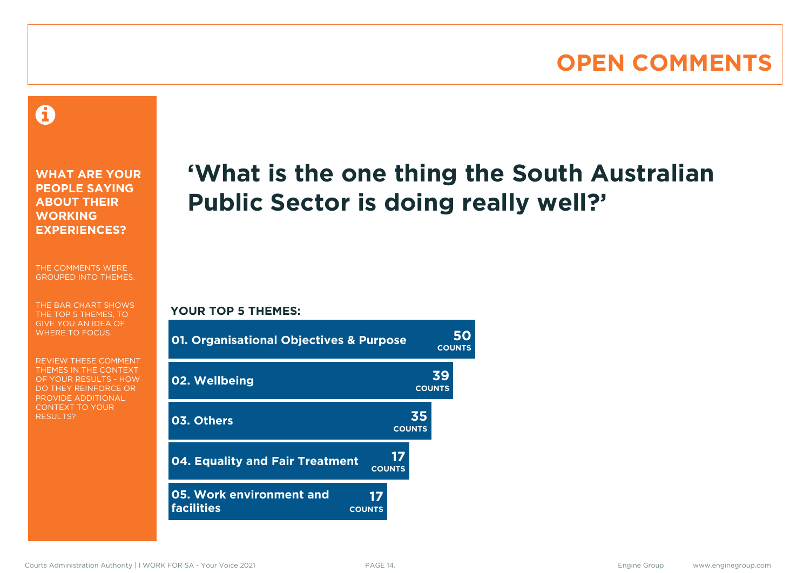### **OPEN COMMENTS**

#### Ô

**WHAT ARE YOUR PEOPLE SAYING ABOUT THEIR WORKING EXPERIENCES?**

THE COMMENTS WERE GROUPED INTO THEMES.

THE BAR CHART SHOWS THE TOP 5 THEMES, TO GIVE YOU AN IDEA OF WHERE TO FOCUS.

REVIEW THESE COMMENT THEMES IN THE CONTEXT OF YOUR RESULTS - HOW DO THEY REINFORCE OR PROVIDE ADDITIONAL CONTEXT TO YOUR **RESULTS?** 

# **'What is the one thing the South Australian Public Sector is doing really well?'**

#### **YOUR TOP 5 THEMES:**

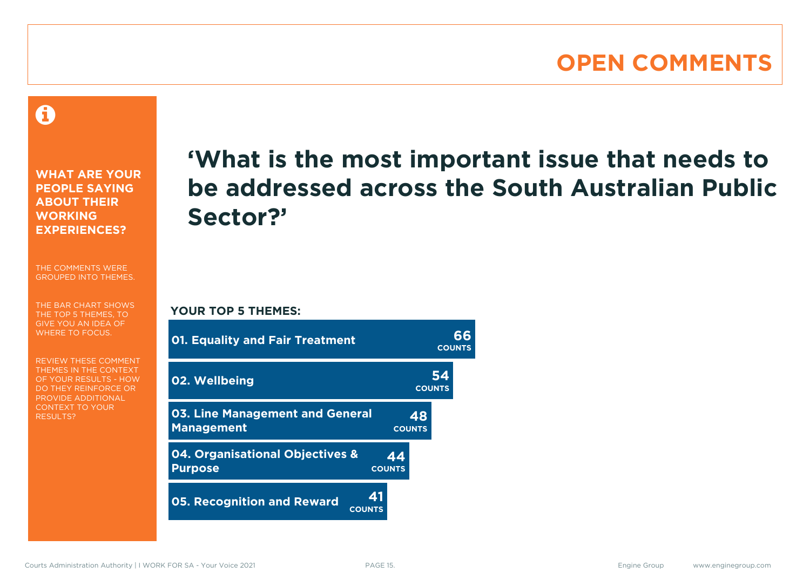#### **OPEN COMMENTS**

A

**WHAT ARE YOUR PEOPLE SAYING ABOUT THEIR WORKING EXPERIENCES?**

THE COMMENTS WERE GROUPED INTO THEMES.

THE BAR CHART SHOWS THE TOP 5 THEMES, TO GIVE YOU AN IDEA OF WHERE TO FOCUS.

REVIEW THESE COMMENT THEMES IN THE CONTEXT OF YOUR RESULTS - HOW DO THEY REINFORCE OR PROVIDE ADDITIONAL CONTEXT TO YOUR **RESULTS?** 

# **'What is the most important issue that needs to be addressed across the South Australian Public Sector?'**

**YOUR TOP 5 THEMES:**

| <b>01. Equality and Fair Treatment</b>                                   | สล<br><b>COUNTS</b> |
|--------------------------------------------------------------------------|---------------------|
| 02. Wellbeing                                                            | 54<br><b>COUNTS</b> |
| <b>03. Line Management and General</b><br><b>Management</b>              | 48<br><b>COUNTS</b> |
| 04. Organisational Objectives &<br>44<br><b>Purpose</b><br><b>COUNTS</b> |                     |
| 41<br><b>05. Recognition and Reward</b><br><b>COUNTS</b>                 |                     |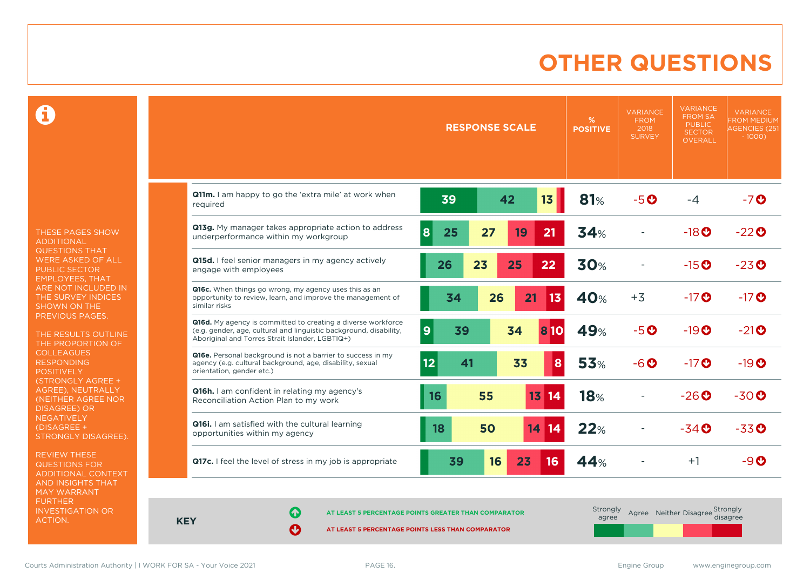### **OTHER QUESTIONS**

0

THESE PAGES SHOW ADDITIONAL QUESTIONS THAT WERE ASKED OF ALL PUBLIC SECTOR EMPLOYEES, THAT ARE NOT INCLUDED IN THE SURVEY INDICES SHOWN ON THE PREVIOUS PAGES.

THE RESULTS OUTLINE THE PROPORTION OF COLLEAGUES RESPONDING POSITIVELY (STRONGLY AGREE + AGREE), NEUTRALLY (NEITHER AGREE NOR **NEGATIVELY** (DISAGREE + STRONGLY DISAGREE).

REVIEW THESE QUESTIONS FOR ADDITIONAL CONTEXT AND INSIGHTS THAT MAY WARRANT FURTHER INVESTIGATION OR ACTION.

|                                                                                                                                                                                       |                  | <b>RESPONSE SCALE</b> |    |          | %<br><b>POSITIVE</b> | <b>VARIANCE</b><br><b>FROM</b><br>2018<br><b>SURVEY</b> | <b>VARIANCE</b><br><b>FROM SA</b><br><b>PUBLIC</b><br><b>SECTOR</b><br><b>OVERALL</b> | <b>VARIANCE</b><br><b>FROM MEDIUM</b><br><b>AGENCIES (251</b><br>$-1000$ ) |
|---------------------------------------------------------------------------------------------------------------------------------------------------------------------------------------|------------------|-----------------------|----|----------|----------------------|---------------------------------------------------------|---------------------------------------------------------------------------------------|----------------------------------------------------------------------------|
| Q11m. I am happy to go the 'extra mile' at work when<br>reauired                                                                                                                      | 39               |                       | 42 | 13       | 81%                  | $-5o$                                                   | -4                                                                                    | $-7$ $\odot$                                                               |
| Q13g. My manager takes appropriate action to address<br>underperformance within my workgroup                                                                                          | 8<br>25          | 27                    | 19 | 21       | 34%                  |                                                         | $-18$ <sup>O</sup>                                                                    | $-22$ <sup>O</sup>                                                         |
| Q15d. I feel senior managers in my agency actively<br>engage with employees                                                                                                           | 26               | 23                    | 25 | 22       | 30%                  |                                                         | $-15$ <sup>O</sup>                                                                    | $-23$ <sup>O</sup>                                                         |
| Q16c. When things go wrong, my agency uses this as an<br>opportunity to review, learn, and improve the management of<br>similar risks                                                 | 34               | 26                    | 21 | 13       | 40%                  | $+3$                                                    | $-17$ <sup>O</sup>                                                                    | $-17$ <sup>O</sup>                                                         |
| Q16d. My agency is committed to creating a diverse workforce<br>(e.g. gender, age, cultural and linguistic background, disability,<br>Aboriginal and Torres Strait Islander, LGBTIQ+) | $\boldsymbol{9}$ | 39                    | 34 | 810      | <b>49%</b>           | $-5o$                                                   | $-19$ <sup>O</sup>                                                                    | $-21$ <sup>O</sup>                                                         |
| Q16e. Personal background is not a barrier to success in my<br>agency (e.g. cultural background, age, disability, sexual<br>orientation, gender etc.)                                 | 12               | 41                    | 33 | 8        | 53%                  | $-6o$                                                   | $-17$ <sup>O</sup>                                                                    | $-19O$                                                                     |
| Q16h. I am confident in relating my agency's<br>Reconciliation Action Plan to my work                                                                                                 | 16               | 55                    |    | 13<br>14 | 18%                  |                                                         | $-26$ <sup><math>\odot</math></sup>                                                   | $-30$ <sup>O</sup>                                                         |
| <b>Q16i.</b> I am satisfied with the cultural learning<br>opportunities within my agency                                                                                              | 18               | 50                    |    | 14<br>14 | 22%                  |                                                         | $-34$ <sup>O</sup>                                                                    | $-33o$                                                                     |
| Q17c. I feel the level of stress in my job is appropriate                                                                                                                             | 39               | 16                    | 23 | 16       | 44%                  |                                                         | $+1$                                                                                  | $-9$ $\odot$                                                               |

**KEY**

**AT LEAST 5 PERCENTAGE POINTS GREATER THAN COMPARATOR**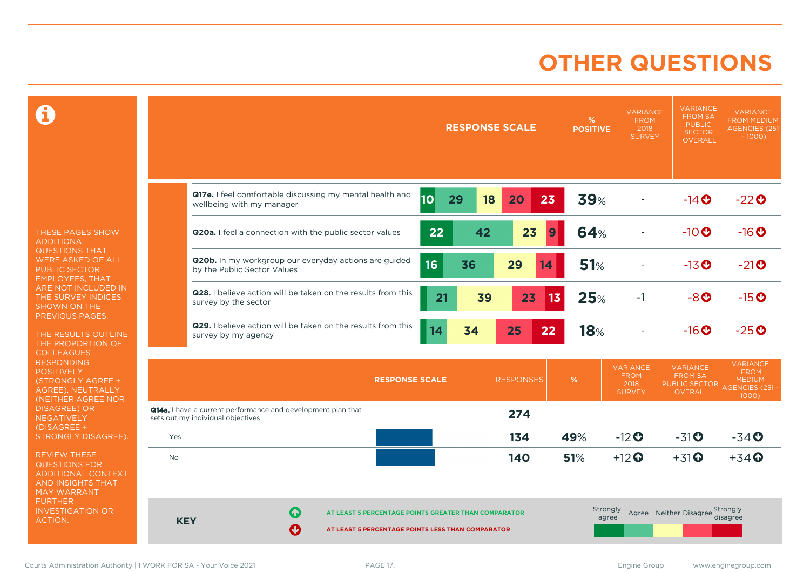### **OTHER QUESTIONS**

0

THESE PAGES SHOW ADDITIONAL QUESTIONS THAT WERE ASKED OF ALL PUBLIC SECTOR EMPLOYEES, THAT ARE NOT INCLUDED IN THE SURVEY INDICES SHOWN ON THE PREVIOUS PAGES.

THE RESULTS OUTLINE THE PROPORTION OF COLLEAGUES RESPONDING POSITIVELY (STRONGLY AGREE + AGREE), NEUTRALLY (NEITHER AGREE NOR DISAGREE) OR **NEGATIVELY** (DISAGREE + STRONGLY DISAGREE).

REVIEW THESE QUESTIONS FOR ADDITIONAL CONTEXT AND INSIGHTS THAT MAY WARRANT FURTHER INVESTIGATION OR ACTION.

|            | <b>RESPONSE SCALE</b>                                                                                               |                  | %<br><b>POSITIVE</b> | <b>VARIANCE</b><br><b>FROM</b><br>2018<br><b>SURVEY</b> | <b>VARIANCE</b><br><b>FROM SA</b><br><b>PUBLIC</b><br><b>SECTOR</b><br><b>OVERALL</b> | <b>VARIANCE</b><br><b>FROM MEDIUM</b><br><b>AGENCIES (251</b><br>$-1000$           |
|------------|---------------------------------------------------------------------------------------------------------------------|------------------|----------------------|---------------------------------------------------------|---------------------------------------------------------------------------------------|------------------------------------------------------------------------------------|
|            |                                                                                                                     |                  |                      |                                                         |                                                                                       |                                                                                    |
|            | Q17e. I feel comfortable discussing my mental health and<br> 10 <br>29<br>18<br>wellbeing with my manager           | 23<br>20         | 39%                  |                                                         | $-14$ <sup>O</sup>                                                                    | $-22o$                                                                             |
|            | 22<br>42<br>Q20a. I feel a connection with the public sector values                                                 | 23<br>9          | <b>64%</b>           |                                                         | $-10$ <sup>O</sup>                                                                    | $-16o$                                                                             |
|            | Q20b. In my workgroup our everyday actions are guided<br>16<br>36<br>by the Public Sector Values                    | 29<br>14         | 51%                  |                                                         | $-13$ <sup>O</sup>                                                                    | $-21$ <sup>O</sup>                                                                 |
|            | Q28. I believe action will be taken on the results from this<br>39<br>21<br>survey by the sector                    | 23<br>13         | 25%                  | $-1$                                                    | $-8o$                                                                                 | $-15$ <sup>O</sup>                                                                 |
|            | Q29. I believe action will be taken on the results from this<br>14<br>34<br>25<br>survey by my agency               | 22               | <b>18%</b>           |                                                         | $-16$ <sup>O</sup>                                                                    | $-25o$                                                                             |
|            | <b>RESPONSE SCALE</b>                                                                                               | <b>RESPONSES</b> | %                    | <b>VARIANCE</b><br><b>FROM</b><br>2018<br><b>SURVEY</b> | <b>VARIANCE</b><br><b>FROM SA</b><br><b>PUBLIC SECTOR</b><br><b>OVERALL</b>           | <b>VARIANCE</b><br><b>FROM</b><br><b>MEDIUM</b><br><b>AGENCIES (251 -</b><br>1000) |
|            | Q14a. I have a current performance and development plan that<br>sets out my individual objectives                   | 274              |                      |                                                         |                                                                                       |                                                                                    |
| Yes        |                                                                                                                     | 134              | 49%                  | $-12$                                                   | $-31$                                                                                 | $-34O$                                                                             |
| <b>No</b>  |                                                                                                                     | 140              | 51%                  | $+12$                                                   | $+31$                                                                                 | $+34$ <sup>O</sup>                                                                 |
| <b>KEY</b> | 不<br>AT LEAST 5 PERCENTAGE POINTS GREATER THAN COMPARATOR<br>Ø<br>AT LEAST 5 PERCENTAGE POINTS LESS THAN COMPARATOR |                  | Strongly<br>agree    |                                                         | Agree Neither Disagree Strongly                                                       | disagree                                                                           |

 $\overline{\phantom{a}}$ 

 $\overline{\phantom{a}}$ 

 $\overline{\phantom{a}}$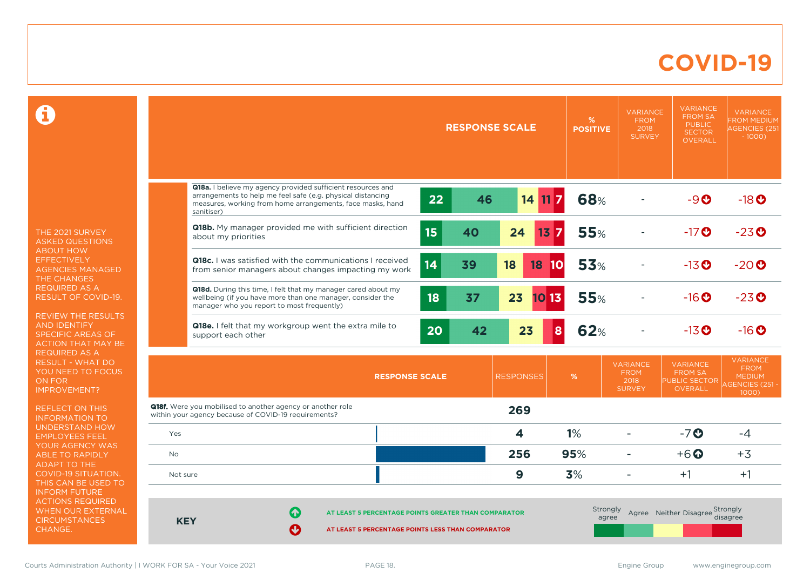#### **COVID-19**

 $\mathbf \Omega$ 

THE 2021 SURVEY ASKED QUESTIONS ABOUT HOW **EFFECTIVELY** AGENCIES MANAGED THE CHANGES REQUIRED AS A RESULT OF COVID-19.

REVIEW THE RESULTS AND IDENTIFY SPECIFIC AREAS OF ACTION THAT MAY BE REQUIRED AS A RESULT - WHAT DO YOU NEED TO FOCUS ON FOR IMPROVEMENT?

REFLECT ON THIS INFORMATION TO UNDERSTAND HOW EMPLOYEES FEEL YOUR AGENCY WAS ABLE TO RAPIDLY ADAPT TO THE COVID-19 SITUATION. THIS CAN BE USED TO INFORM FUTURE ACTIONS REQUIRED WHEN OUR EXTERNAL **CIRCUMSTANCES** CHANGE.

|            |                                                                                                                                                                           |    |    | <b>RESPONSE SCALE</b>  | %<br><b>POSITIVE</b> | <b>VARIANCE</b><br><b>FROM</b><br>2018<br><b>SURVEY</b> | <b>VARIANCE</b><br><b>FROM SA</b><br><b>PUBLIC</b><br><b>SECTOR</b><br><b>OVERALL</b> | <b>VARIANCE</b><br><b>FROM MEDIUM</b><br><b>AGENCIES (251</b><br>$-1000$ )  |
|------------|---------------------------------------------------------------------------------------------------------------------------------------------------------------------------|----|----|------------------------|----------------------|---------------------------------------------------------|---------------------------------------------------------------------------------------|-----------------------------------------------------------------------------|
|            | Q18a. I believe my agency provided sufficient resources and<br>arrangements to help me feel safe (e.g. physical distancing                                                |    |    |                        |                      |                                                         |                                                                                       |                                                                             |
|            | measures, working from home arrangements, face masks, hand<br>sanitiser)                                                                                                  | 22 | 46 | 14<br>11               | 68%<br>17            |                                                         | $-9O$                                                                                 | $-18$ <sup>O</sup>                                                          |
|            | Q18b. My manager provided me with sufficient direction<br>about my priorities                                                                                             | 15 | 40 | 24<br>$13\overline{7}$ | <b>55%</b>           |                                                         | $-17$ <sup>O</sup>                                                                    | $-23$ <sup>O</sup>                                                          |
|            | <b>Q18c.</b> I was satisfied with the communications I received<br>from senior managers about changes impacting my work                                                   | 14 | 39 | 18<br>18               | 53%<br>10            |                                                         | $-13$ <sup>O</sup>                                                                    | $-20$ <sup>O</sup>                                                          |
|            | Q18d. During this time, I felt that my manager cared about my<br>wellbeing (if you have more than one manager, consider the<br>manager who you report to most frequently) | 18 | 37 | 23<br>10 13            | <b>55%</b>           |                                                         | $-16$ <sup>O</sup>                                                                    | $-23$ <sup>O</sup>                                                          |
|            | Q18e. I felt that my workgroup went the extra mile to<br>support each other                                                                                               | 20 | 42 | 23                     | 62%<br>8             |                                                         | $-13$ <sup>O</sup>                                                                    | $-16$ <sup>O</sup>                                                          |
|            | <b>RESPONSE SCALE</b>                                                                                                                                                     |    |    | <b>RESPONSES</b>       | $\%$                 | <b>VARIANCE</b><br><b>FROM</b><br>2018<br><b>SURVEY</b> | <b>VARIANCE</b><br><b>FROM SA</b><br>PUBLIC SECTOR<br><b>OVERALL</b>                  | <b>VARIANCE</b><br><b>FROM</b><br><b>MEDIUM</b><br>AGENCIES (251 -<br>1000) |
|            | <b>Q18f.</b> Were you mobilised to another agency or another role<br>within your agency because of COVID-19 requirements?                                                 |    |    | 269                    |                      |                                                         |                                                                                       |                                                                             |
| Yes        |                                                                                                                                                                           |    |    | $\overline{\bf 4}$     | 1%                   |                                                         | $-7o$                                                                                 | $-4$                                                                        |
| <b>No</b>  |                                                                                                                                                                           |    |    | 256                    | 95%                  | $\overline{\phantom{a}}$                                | $+6$ <sup><math>\odot</math></sup>                                                    | $+3$                                                                        |
| Not sure   |                                                                                                                                                                           |    |    | $\mathbf{9}$           | 3%                   | ÷.                                                      | $+1$                                                                                  | $+1$                                                                        |
| <b>KEY</b> | Q<br>AT LEAST 5 PERCENTAGE POINTS GREATER THAN COMPARATOR<br>Ø<br>AT LEAST 5 PERCENTAGE POINTS LESS THAN COMPARATOR                                                       |    |    |                        | Strongly<br>agree    |                                                         | Agree Neither Disagree Strongly                                                       | disagree                                                                    |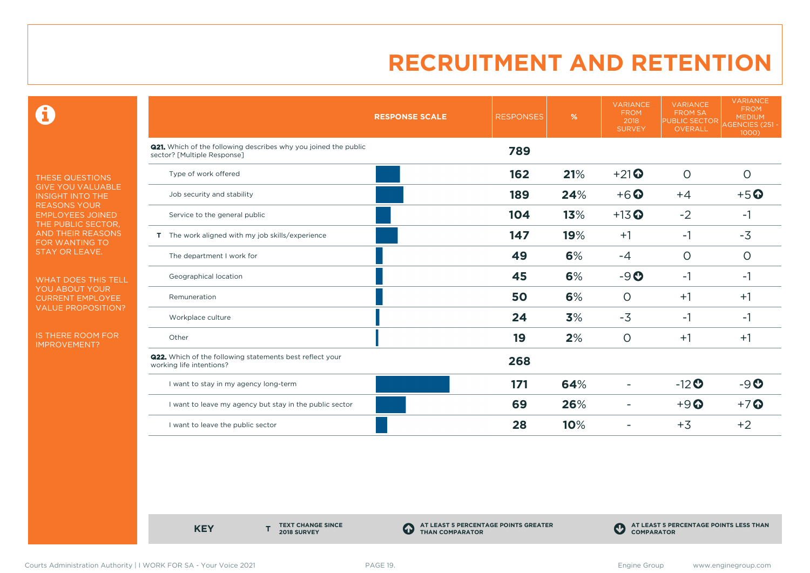$\mathbf \Theta$ 

THESE QUESTIONS GIVE YOU VALUABLE INSIGHT INTO THE REASONS YOUR EMPLOYEES JOINED THE PUBLIC SECTOR, AND THEIR REASONS FOR WANTING TO STAY OR LEAVE.

WHAT DOES THIS TELL YOU ABOUT YOUR CURRENT EMPLOYEE VALUE PROPOSITION?

IS THERE ROOM FOR IMPROVEMENT?

|                                                                                                       | <b>RESPONSE SCALE</b> | <b>RESPONSES</b> | %   | <b>VARIANCE</b><br><b>FROM</b><br>2018<br><b>SURVEY</b> | <b>VARIANCE</b><br><b>FROM SA</b><br><b>PUBLIC SECTOR</b><br>OVERALL | <b>VARIANCE</b><br><b>FROM</b><br><b>MEDIUM</b><br><b>AGENCIES (251 -</b><br>$1000$ ) |
|-------------------------------------------------------------------------------------------------------|-----------------------|------------------|-----|---------------------------------------------------------|----------------------------------------------------------------------|---------------------------------------------------------------------------------------|
| <b>Q21.</b> Which of the following describes why you joined the public<br>sector? [Multiple Response] |                       | 789              |     |                                                         |                                                                      |                                                                                       |
| Type of work offered                                                                                  |                       | 162              | 21% | $+21$                                                   | $\circ$                                                              | $\circ$                                                                               |
| Job security and stability                                                                            |                       | 189              | 24% | $+6$ <sup>O</sup>                                       | $+4$                                                                 | $+5o$                                                                                 |
| Service to the general public                                                                         |                       | 104              | 13% | $+13$ <sup>O</sup>                                      | $-2$                                                                 | -1                                                                                    |
| T The work aligned with my job skills/experience                                                      |                       | 147              | 19% | $+1$                                                    | $-1$                                                                 | $-3$                                                                                  |
| The department I work for                                                                             |                       | 49               | 6%  | $-4$                                                    | $\circ$                                                              | $\circ$                                                                               |
| Geographical location                                                                                 |                       | 45               | 6%  | $-9O$                                                   | $-1$                                                                 | $-1$                                                                                  |
| Remuneration                                                                                          |                       | 50               | 6%  | $\circ$                                                 | $+1$                                                                 | $+1$                                                                                  |
| Workplace culture                                                                                     |                       | 24               | 3%  | $-3$                                                    | $-1$                                                                 | $-1$                                                                                  |
| Other                                                                                                 |                       | 19               | 2%  | $\circ$                                                 | $+1$                                                                 | $+1$                                                                                  |
| <b>Q22.</b> Which of the following statements best reflect your<br>working life intentions?           |                       | 268              |     |                                                         |                                                                      |                                                                                       |
| I want to stay in my agency long-term                                                                 |                       | 171              | 64% |                                                         | $-12$ <b>O</b>                                                       | $-9O$                                                                                 |
| I want to leave my agency but stay in the public sector                                               |                       | 69               | 26% |                                                         | $+9$ <sup><math>\odot</math></sup>                                   | $+7$ $\odot$                                                                          |
| I want to leave the public sector                                                                     |                       | 28               | 10% |                                                         | $+3$                                                                 | $+2$                                                                                  |

**KEY** 

**TEXT CHANGE SINCE 2018 SURVEY**

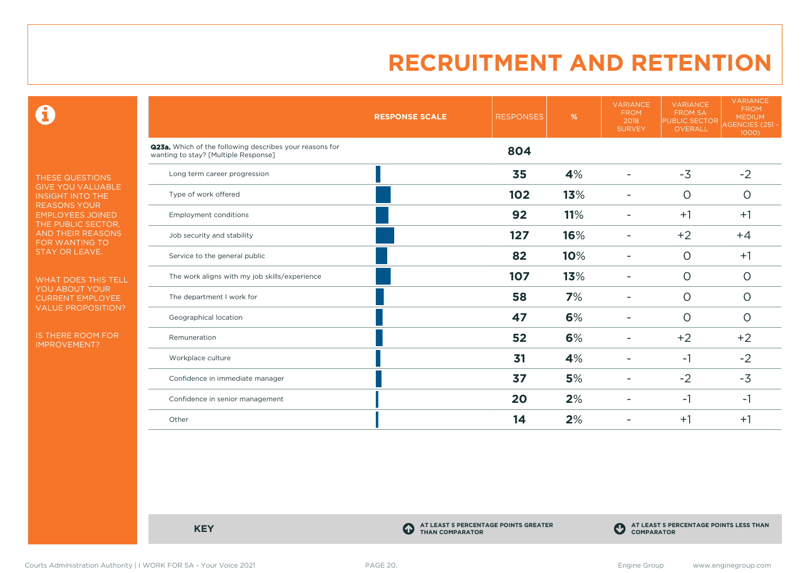$\mathbf \Theta$ 

THESE QUESTIONS GIVE YOU VALUABLE INSIGHT INTO THE REASONS YOUR EMPLOYEES JOINED THE PUBLIC SECTOR, AND THEIR REASONS FOR WANTING TO STAY OR LEAVE.

WHAT DOES THIS TELL YOU ABOUT YOUR CURRENT EMPLOYEE VALUE PROPOSITION?

IS THERE ROOM FOR IMPROVEMENT?

|                                                                                                 | <b>RESPONSE SCALE</b> | <b>RESPONSES</b> | %   | <b>VARIANCE</b><br><b>FROM</b><br>2018<br><b>SURVEY</b> | <b>VARIANCE</b><br><b>FROM SA</b><br><b>PUBLIC SECTOR</b><br>OVERALL | <b>VARIANCE</b><br><b>FROM</b><br><b>MEDIUM</b><br>AGENCIES (251 -<br>1000) |
|-------------------------------------------------------------------------------------------------|-----------------------|------------------|-----|---------------------------------------------------------|----------------------------------------------------------------------|-----------------------------------------------------------------------------|
| Q23a. Which of the following describes your reasons for<br>wanting to stay? [Multiple Response] |                       | 804              |     |                                                         |                                                                      |                                                                             |
| Long term career progression                                                                    |                       | 35               | 4%  |                                                         | $-3$                                                                 | $-2$                                                                        |
| Type of work offered                                                                            |                       | 102              | 13% |                                                         | $\circ$                                                              | $\circ$                                                                     |
| <b>Employment conditions</b>                                                                    |                       | 92               | 11% | ۰                                                       | $+1$                                                                 | $+1$                                                                        |
| Job security and stability                                                                      |                       | 127              | 16% |                                                         | $+2$                                                                 | $+4$                                                                        |
| Service to the general public                                                                   |                       | 82               | 10% |                                                         | $\circ$                                                              | $+1$                                                                        |
| The work aligns with my job skills/experience                                                   |                       | 107              | 13% |                                                         | $\circ$                                                              | $\circ$                                                                     |
| The department I work for                                                                       |                       | 58               | 7%  |                                                         | $\Omega$                                                             | $\circ$                                                                     |
| Geographical location                                                                           |                       | 47               | 6%  |                                                         | $\circ$                                                              | $\circ$                                                                     |
| Remuneration                                                                                    |                       | 52               | 6%  |                                                         | $+2$                                                                 | $+2$                                                                        |
| Workplace culture                                                                               |                       | 31               | 4%  |                                                         | $-1$                                                                 | $-2$                                                                        |
| Confidence in immediate manager                                                                 |                       | 37               | 5%  |                                                         | $-2$                                                                 | $-3$                                                                        |
| Confidence in senior management                                                                 |                       | 20               | 2%  |                                                         | $-1$                                                                 | $-1$                                                                        |
| Other                                                                                           |                       | 14               | 2%  |                                                         | $+1$                                                                 | $+1$                                                                        |

**KEY C** 

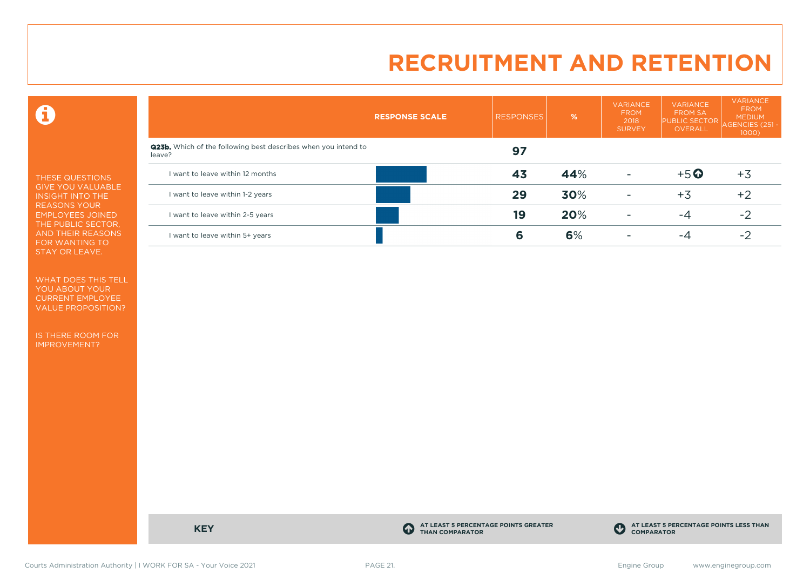$\mathbf \Theta$ 

THESE QUESTIONS GIVE YOU VALUABLE INSIGHT INTO THE REASONS YOUR EMPLOYEES JOINED THE PUBLIC SECTOR, AND THEIR REASONS FOR WANTING TO STAY OR LEAVE.

WHAT DOES THIS TELL YOU ABOUT YOUR CURRENT EMPLOYEE VALUE PROPOSITION?

IS THERE ROOM FOR IMPROVEMENT?

|                                                                                 | <b>RESPONSE SCALE</b> | <b>RESPONSES</b> | %   | <b>VARIANCE</b><br><b>FROM</b><br>2018<br><b>SURVEY</b> | <b>VARIANCE</b><br><b>FROM SA</b><br><b>PUBLIC SECTOR</b><br>OVERALL | <b>VARIANCE</b><br><b>FROM</b><br><b>MEDIUM</b><br>AGENCIES (251 -<br>$1000$ ) |
|---------------------------------------------------------------------------------|-----------------------|------------------|-----|---------------------------------------------------------|----------------------------------------------------------------------|--------------------------------------------------------------------------------|
| <b>Q23b.</b> Which of the following best describes when you intend to<br>leave? |                       | 97               |     |                                                         |                                                                      |                                                                                |
| I want to leave within 12 months                                                |                       | 43               | 44% | -                                                       | $+5$ <sup>O</sup>                                                    | $+3$                                                                           |
| I want to leave within 1-2 years                                                |                       | 29               | 30% | ٠                                                       | $+3$                                                                 | $+2$                                                                           |
| I want to leave within 2-5 years                                                |                       | 19               | 20% | -                                                       | -4                                                                   | $-2$                                                                           |
| I want to leave within 5+ years                                                 |                       | 6                | 6%  | -                                                       | -4                                                                   | $-2$                                                                           |

**KEY C** 

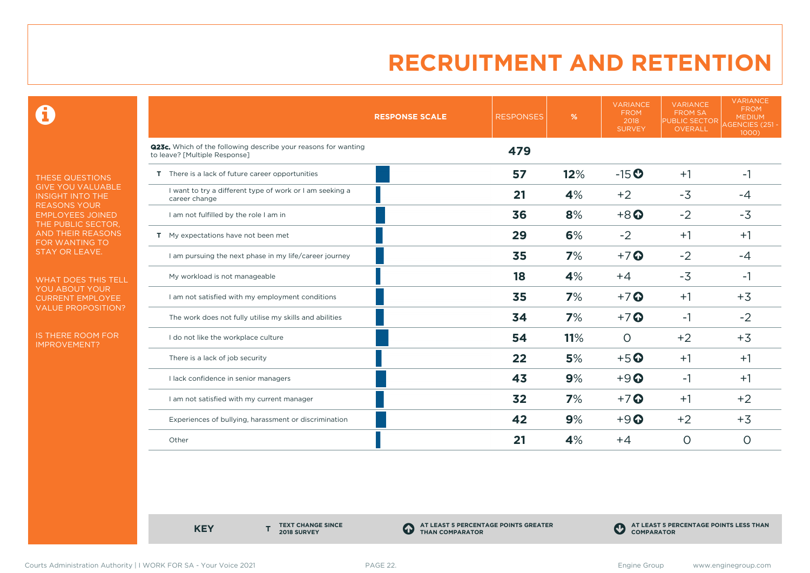0

THESE QUESTIONS GIVE YOU VALUABLE INSIGHT INTO THE REASONS YOUR EMPLOYEES JOINED THE PUBLIC SECTOR, AND THEIR REASONS FOR WANTING TO STAY OR LEAVE.

WHAT DOES THIS TELL YOU ABOUT YOUR CURRENT EMPLOYEE VALUE PROPOSITION?

IS THERE ROOM FOR IMPROVEMENT?

|                                                                                                 | <b>RESPONSE SCALE</b> | <b>RESPONSES</b> | %   | <b>VARIANCE</b><br><b>FROM</b><br>2018<br><b>SURVEY</b> | <b>VARIANCE</b><br><b>FROM SA</b><br><b>PUBLIC SECTOR</b><br><b>OVERALL</b> | <b>VARIANCE</b><br><b>FROM</b><br><b>MEDIUM</b><br>AGENCIES (251 -<br>1000) |
|-------------------------------------------------------------------------------------------------|-----------------------|------------------|-----|---------------------------------------------------------|-----------------------------------------------------------------------------|-----------------------------------------------------------------------------|
| Q23c. Which of the following describe your reasons for wanting<br>to leave? [Multiple Response] |                       | 479              |     |                                                         |                                                                             |                                                                             |
| T There is a lack of future career opportunities                                                |                       | 57               | 12% | $-15o$                                                  | $+1$                                                                        | -1                                                                          |
| I want to try a different type of work or I am seeking a<br>career change                       |                       | 21               | 4%  | $+2$                                                    | $-3$                                                                        | $-4$                                                                        |
| I am not fulfilled by the role I am in                                                          |                       | 36               | 8%  | $+8$ <sup>O</sup>                                       | $-2$                                                                        | $-3$                                                                        |
| T My expectations have not been met                                                             |                       | 29               | 6%  | $-2$                                                    | $+1$                                                                        | $+1$                                                                        |
| I am pursuing the next phase in my life/career journey                                          |                       | 35               | 7%  | $+7$ <sup>O</sup>                                       | $-2$                                                                        | $-4$                                                                        |
| My workload is not manageable                                                                   |                       | 18               | 4%  | $+4$                                                    | $-3$                                                                        | -1                                                                          |
| I am not satisfied with my employment conditions                                                |                       | 35               | 7%  | $+7$ <sup>O</sup>                                       | $+1$                                                                        | $+3$                                                                        |
| The work does not fully utilise my skills and abilities                                         |                       | 34               | 7%  | $+7$                                                    | -1                                                                          | $-2$                                                                        |
| I do not like the workplace culture                                                             |                       | 54               | 11% | $\Omega$                                                | $+2$                                                                        | $+3$                                                                        |
| There is a lack of job security                                                                 |                       | 22               | 5%  | $+5$ <sup>O</sup>                                       | $+1$                                                                        | $+1$                                                                        |
| I lack confidence in senior managers                                                            |                       | 43               | 9%  | $+9$ <sup><math>\odot</math></sup>                      | $-1$                                                                        | $+1$                                                                        |
| I am not satisfied with my current manager                                                      |                       | 32               | 7%  | $+7$                                                    | $+1$                                                                        | $+2$                                                                        |
| Experiences of bullying, harassment or discrimination                                           |                       | 42               | 9%  | $+9$ <sup><math>\odot</math></sup>                      | $+2$                                                                        | $+3$                                                                        |
| Other                                                                                           |                       | 21               | 4%  | $+4$                                                    | $\circ$                                                                     | $\circ$                                                                     |

**KEY** 

**TEXT CHANGE SINCE 2018 SURVEY**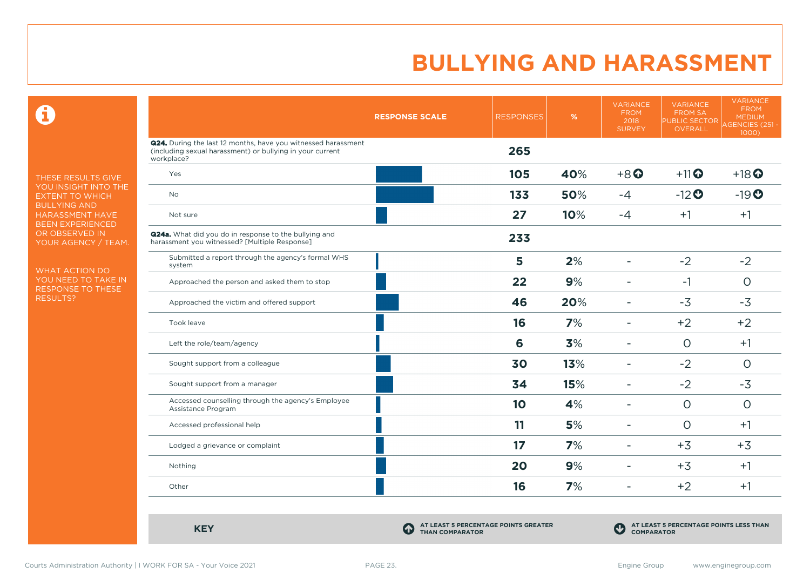$\mathbf \Omega$ 

THESE RESULTS GIVE YOU INSIGHT INTO THE EXTENT TO WHICH BULLYING AND HARASSMENT HAVE BEEN EXPERIENCED OR OBSERVED IN YOUR AGENCY / TEAM.

WHAT ACTION DO YOU NEED TO TAKE IN RESPONSE TO THESE RESULTS?

|                                                                                                                                          | <b>RESPONSE SCALE</b> | <b>RESPONSES</b> | %   | <b>VARIANCE</b><br><b>FROM</b><br>2018<br><b>SURVEY</b> | <b>VARIANCE</b><br><b>FROM SA</b><br>PUBLIC SECTOR<br>OVERALL | <b>VARIANCE</b><br><b>FROM</b><br><b>MEDIUM</b><br>AGENCIES (251 -<br>1000) |
|------------------------------------------------------------------------------------------------------------------------------------------|-----------------------|------------------|-----|---------------------------------------------------------|---------------------------------------------------------------|-----------------------------------------------------------------------------|
| Q24. During the last 12 months, have you witnessed harassment<br>(including sexual harassment) or bullying in your current<br>workplace? |                       | 265              |     |                                                         |                                                               |                                                                             |
| Yes                                                                                                                                      |                       | 105              | 40% | $+8$ <sup><math>\odot</math></sup>                      | $+11$ <sup>O</sup>                                            | $+18$ <sup>O</sup>                                                          |
| No                                                                                                                                       |                       | 133              | 50% | $-4$                                                    | $-12$ <sup>O</sup>                                            | $-19O$                                                                      |
| Not sure                                                                                                                                 |                       | 27               | 10% | $-4$                                                    | $+1$                                                          | $+1$                                                                        |
| <b>Q24a.</b> What did you do in response to the bullying and<br>harassment you witnessed? [Multiple Response]                            |                       | 233              |     |                                                         |                                                               |                                                                             |
| Submitted a report through the agency's formal WHS<br>system                                                                             |                       | 5                | 2%  | ÷                                                       | $-2$                                                          | $-2$                                                                        |
| Approached the person and asked them to stop                                                                                             |                       | 22               | 9%  | ۰                                                       | $-1$                                                          | $\circ$                                                                     |
| Approached the victim and offered support                                                                                                |                       | 46               | 20% | Ξ.                                                      | $-3$                                                          | $-3$                                                                        |
| Took leave                                                                                                                               |                       | 16               | 7%  | ÷                                                       | $+2$                                                          | $+2$                                                                        |
| Left the role/team/agency                                                                                                                |                       | 6                | 3%  | ۰                                                       | $\circ$                                                       | $+1$                                                                        |
| Sought support from a colleague                                                                                                          |                       | 30               | 13% | ۰                                                       | $-2$                                                          | $\circ$                                                                     |
| Sought support from a manager                                                                                                            |                       | 34               | 15% | ۳                                                       | $-2$                                                          | $-3$                                                                        |
| Accessed counselling through the agency's Employee<br>Assistance Program                                                                 |                       | 10               | 4%  | ۰                                                       | $\circ$                                                       | $\circ$                                                                     |
| Accessed professional help                                                                                                               |                       | 11               | 5%  | ۰                                                       | $\circ$                                                       | $+1$                                                                        |
| Lodged a grievance or complaint                                                                                                          |                       | 17               | 7%  | Ξ.                                                      | $+3$                                                          | $+3$                                                                        |
| Nothing                                                                                                                                  |                       | 20               | 9%  | ÷                                                       | $+3$                                                          | $+1$                                                                        |
| Other                                                                                                                                    |                       | 16               | 7%  | $\overline{\phantom{a}}$                                | $+2$                                                          | $+1$                                                                        |

**KEY C**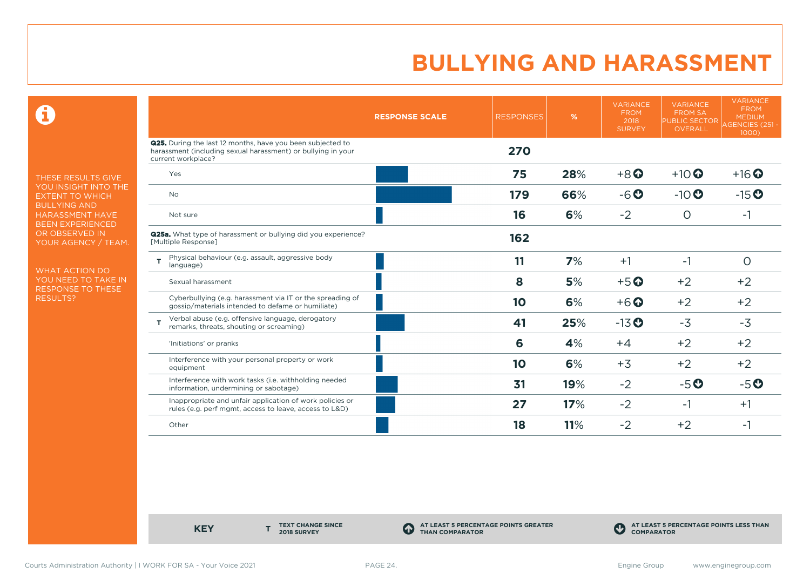$\mathbf \Theta$ 

THESE RESULTS GIVE YOU INSIGHT INTO THE EXTENT TO WHICH BULLYING AND HARASSMENT HAVE BEEN EXPERIENCED OR OBSERVED IN YOUR AGENCY / TEAM.

WHAT ACTION DO YOU NEED TO TAKE IN RESPONSE TO THESE RESULTS?

|                                                                                                                                                  | <b>RESPONSE SCALE</b> | <b>RESPONSES</b> | %   | <b>VARIANCE</b><br><b>FROM</b><br>2018<br><b>SURVEY</b> | <b>VARIANCE</b><br><b>FROM SA</b><br><b>PUBLIC SECTOR</b><br><b>OVERALL</b> | <b>VARIANCE</b><br><b>FROM</b><br><b>MEDIUM</b><br><b>AGENCIES (251-</b><br>1000) |
|--------------------------------------------------------------------------------------------------------------------------------------------------|-----------------------|------------------|-----|---------------------------------------------------------|-----------------------------------------------------------------------------|-----------------------------------------------------------------------------------|
| Q25. During the last 12 months, have you been subjected to<br>harassment (including sexual harassment) or bullying in your<br>current workplace? |                       | 270              |     |                                                         |                                                                             |                                                                                   |
| Yes                                                                                                                                              |                       | 75               | 28% | $+8$ <sup>O</sup>                                       | $+10$ <sup>O</sup>                                                          | $+16$ $\odot$                                                                     |
| <b>No</b>                                                                                                                                        |                       | 179              | 66% | $-6o$                                                   | $-10$ $\odot$                                                               | $-15$ <sup>O</sup>                                                                |
| Not sure                                                                                                                                         |                       | 16               | 6%  | $-2$                                                    | $\circ$                                                                     | $-1$                                                                              |
| <b>Q25a.</b> What type of harassment or bullying did you experience?<br>[Multiple Response]                                                      |                       | 162              |     |                                                         |                                                                             |                                                                                   |
| Physical behaviour (e.g. assault, aggressive body<br>T<br>language)                                                                              |                       | 11               | 7%  | $+1$                                                    | $-1$                                                                        | $\circ$                                                                           |
| Sexual harassment                                                                                                                                |                       | 8                | 5%  | $+5$ <sup>O</sup>                                       | $+2$                                                                        | $+2$                                                                              |
| Cyberbullying (e.g. harassment via IT or the spreading of<br>gossip/materials intended to defame or humiliate)                                   |                       | 10               | 6%  | $+6$ <sup>O</sup>                                       | $+2$                                                                        | $+2$                                                                              |
| Verbal abuse (e.g. offensive language, derogatory<br>remarks, threats, shouting or screaming)                                                    |                       | 41               | 25% | $-13$ <sup>O</sup>                                      | $-3$                                                                        | $-3$                                                                              |
| 'Initiations' or pranks                                                                                                                          |                       | 6                | 4%  | $+4$                                                    | $+2$                                                                        | $+2$                                                                              |
| Interference with your personal property or work<br>equipment                                                                                    |                       | 10               | 6%  | $+3$                                                    | $+2$                                                                        | $+2$                                                                              |
| Interference with work tasks (i.e. withholding needed<br>information, undermining or sabotage)                                                   |                       | 31               | 19% | $-2$                                                    | $-5o$                                                                       | $-5o$                                                                             |
| Inappropriate and unfair application of work policies or<br>rules (e.g. perf mgmt, access to leave, access to L&D)                               |                       | 27               | 17% | $-2$                                                    | $-1$                                                                        | $+1$                                                                              |
| Other                                                                                                                                            |                       | 18               | 11% | $-2$                                                    | $+2$                                                                        | $-1$                                                                              |

**KEY** 

**TEXT CHANGE SINCE 2018 SURVEY**

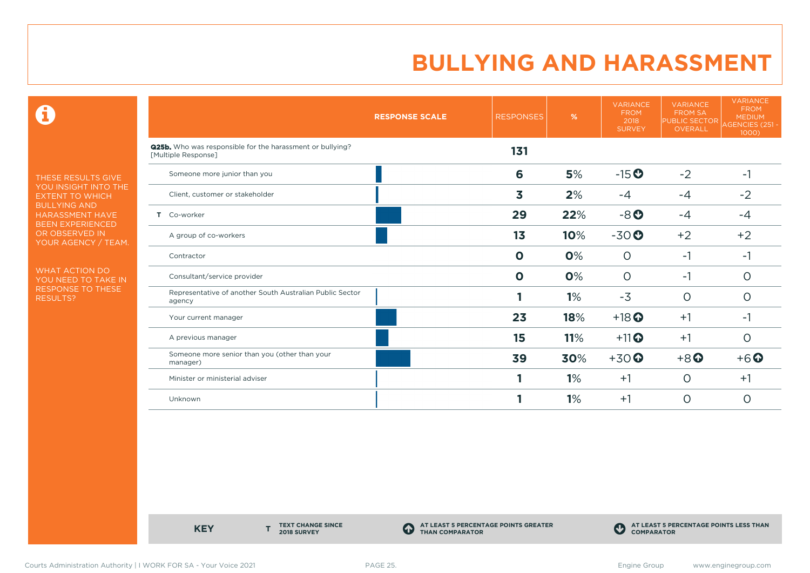$\mathbf \Theta$ 

THESE RESULTS GIVE YOU INSIGHT INTO THE EXTENT TO WHICH BULLYING AND HARASSMENT HAVE BEEN EXPERIENCED OR OBSERVED IN YOUR AGENCY / TEAM.

WHAT ACTION DO YOU NEED TO TAKE IN RESPONSE TO THESE RESULTS?

|                                                                                         | <b>RESPONSE SCALE</b> | <b>RESPONSES</b> | %   | <b>VARIANCE</b><br><b>FROM</b><br>2018<br><b>SURVEY</b> | <b>VARIANCE</b><br><b>FROM SA</b><br><b>PUBLIC SECTOR</b><br><b>OVERALL</b> | <b>VARIANCE</b><br><b>FROM</b><br><b>MEDIUM</b><br>AGENCIES (251 -<br>1000) |
|-----------------------------------------------------------------------------------------|-----------------------|------------------|-----|---------------------------------------------------------|-----------------------------------------------------------------------------|-----------------------------------------------------------------------------|
| <b>Q25b.</b> Who was responsible for the harassment or bullying?<br>[Multiple Response] |                       | 131              |     |                                                         |                                                                             |                                                                             |
| Someone more junior than you                                                            |                       | 6                | 5%  | $-15o$                                                  | $-2$                                                                        | $-1$                                                                        |
| Client, customer or stakeholder                                                         |                       | 3                | 2%  | $-4$                                                    | $-4$                                                                        | $-2$                                                                        |
| T Co-worker                                                                             |                       | 29               | 22% | $-8o$                                                   | $-4$                                                                        | $-4$                                                                        |
| A group of co-workers                                                                   |                       | 1 <sub>3</sub>   | 10% | $-30o$                                                  | $+2$                                                                        | $+2$                                                                        |
| Contractor                                                                              |                       | $\mathbf 0$      | 0%  | $\circ$                                                 | $-1$                                                                        | $-1$                                                                        |
| Consultant/service provider                                                             |                       | $\mathbf 0$      | 0%  | $\circ$                                                 | $-1$                                                                        | O                                                                           |
| Representative of another South Australian Public Sector<br>agency                      |                       |                  | 1%  | $-3$                                                    | $\circ$                                                                     | $\circ$                                                                     |
| Your current manager                                                                    |                       | 23               | 18% | $+18$ <sup>O</sup>                                      | $+1$                                                                        | -1                                                                          |
| A previous manager                                                                      |                       | 15               | 11% | $+11$ <sup>O</sup>                                      | $+1$                                                                        | $\Omega$                                                                    |
| Someone more senior than you (other than your<br>manager)                               |                       | 39               | 30% | $+30$                                                   | $+8$ <sup>O</sup>                                                           | $+6$ $\odot$                                                                |
| Minister or ministerial adviser                                                         |                       |                  | 1%  | $+1$                                                    | $\circ$                                                                     | $+1$                                                                        |
| Unknown                                                                                 |                       |                  | 1%  | $+1$                                                    | $\circ$                                                                     | $\Omega$                                                                    |

**KEY** 

**TEXT CHANGE SINCE 2018 SURVEY**

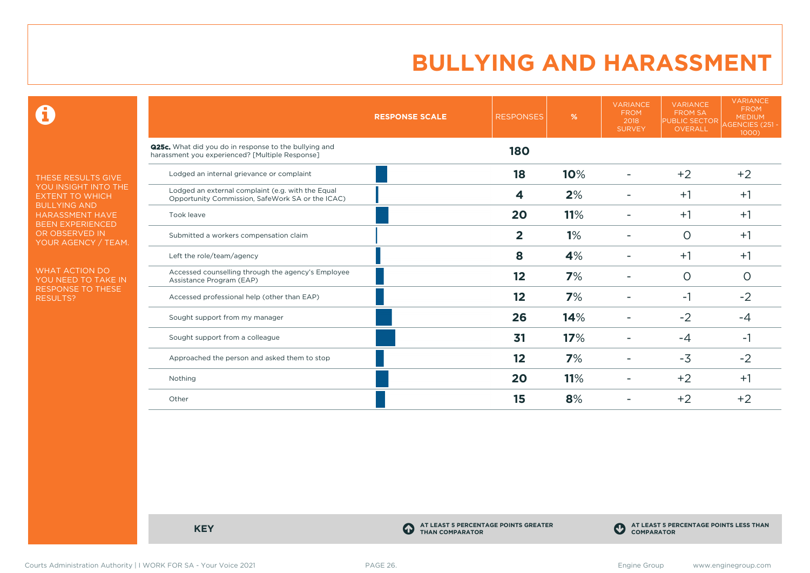$\mathbf \Theta$ 

THESE RESULTS GIVE YOU INSIGHT INTO THE EXTENT TO WHICH BULLYING AND HARASSMENT HAVE BEEN EXPERIENCED OR OBSERVED IN YOUR AGENCY / TEAM.

WHAT ACTION DO YOU NEED TO TAKE IN RESPONSE TO THESE RESULTS?

|                                                                                                                 | <b>RESPONSE SCALE</b> | <b>RESPONSES</b> | %   | <b>VARIANCE</b><br><b>FROM</b><br>2018<br><b>SURVEY</b> | <b>VARIANCE</b><br><b>FROM SA</b><br><b>PUBLIC SECTOR</b><br>OVERALL | <b>VARIANCE</b><br><b>FROM</b><br><b>MEDIUM</b><br>AGENCIES (251 -<br>1000) |
|-----------------------------------------------------------------------------------------------------------------|-----------------------|------------------|-----|---------------------------------------------------------|----------------------------------------------------------------------|-----------------------------------------------------------------------------|
| <b>Q25c.</b> What did you do in response to the bullying and<br>harassment you experienced? [Multiple Response] |                       | 180              |     |                                                         |                                                                      |                                                                             |
| Lodged an internal grievance or complaint                                                                       |                       | 18               | 10% |                                                         | $+2$                                                                 | $+2$                                                                        |
| Lodged an external complaint (e.g. with the Equal<br>Opportunity Commission, SafeWork SA or the ICAC)           |                       | 4                | 2%  |                                                         | $+1$                                                                 | $+1$                                                                        |
| Took leave                                                                                                      |                       | 20               | 11% |                                                         | $+1$                                                                 | $+1$                                                                        |
| Submitted a workers compensation claim                                                                          |                       | $\overline{2}$   | 1%  |                                                         | $\circ$                                                              | $+1$                                                                        |
| Left the role/team/agency                                                                                       |                       | 8                | 4%  |                                                         | $+1$                                                                 | $+1$                                                                        |
| Accessed counselling through the agency's Employee<br>Assistance Program (EAP)                                  |                       | 12               | 7%  |                                                         | $\circ$                                                              | 0                                                                           |
| Accessed professional help (other than EAP)                                                                     |                       | 12               | 7%  |                                                         | $-1$                                                                 | $-2$                                                                        |
| Sought support from my manager                                                                                  |                       | 26               | 14% |                                                         | $-2$                                                                 | -4                                                                          |
| Sought support from a colleague                                                                                 |                       | 31               | 17% |                                                         | $-4$                                                                 | -1                                                                          |
| Approached the person and asked them to stop                                                                    |                       | 12               | 7%  |                                                         | $-3$                                                                 | $-2$                                                                        |
| Nothing                                                                                                         |                       | 20               | 11% |                                                         | $+2$                                                                 | $+1$                                                                        |
| Other                                                                                                           |                       | 15               | 8%  |                                                         | $+2$                                                                 | $+2$                                                                        |

**KEY C** 

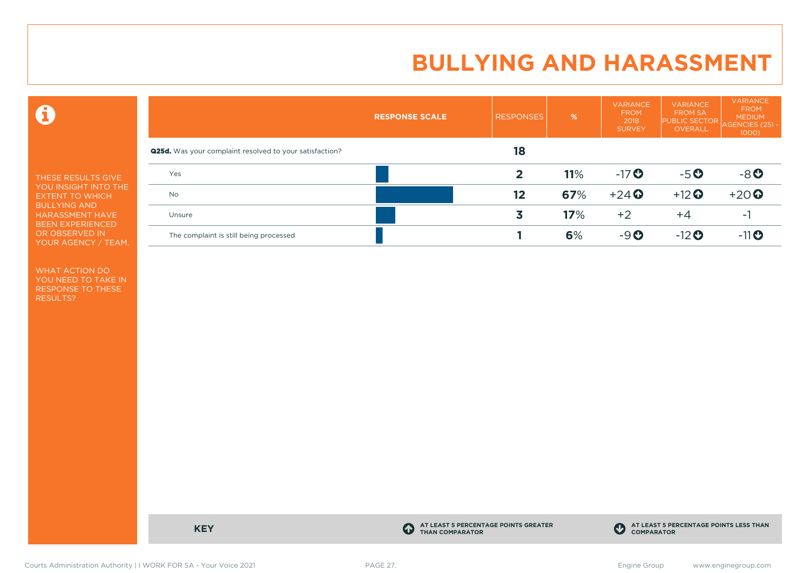$\mathbf \Theta$ 

THESE RESULTS GIVE YOU INSIGHT INTO THE EXTENT TO WHICH BULLYING AND HARASSMENT HAVE BEEN EXPERIENCED OR OBSERVED IN YOUR AGENCY / TEAM.

WHAT ACTION DO YOU NEED TO TAKE IN RESPONSE TO THESE RESULTS?

|                                                                | <b>RESPONSE SCALE</b> | <b>RESPONSES</b> | $\frac{9}{6}$ | <b>VARIANCE</b><br><b>FROM</b><br>2018<br><b>SURVEY</b> | <b>VARIANCE</b><br><b>FROM SA</b><br><b>PUBLIC SECTOR</b><br>OVERALL | <b>VARIANCE</b><br><b>FROM</b><br><b>MEDIUM</b><br>AGENCIES (251 -<br>$1000$ ) |
|----------------------------------------------------------------|-----------------------|------------------|---------------|---------------------------------------------------------|----------------------------------------------------------------------|--------------------------------------------------------------------------------|
| <b>Q25d.</b> Was your complaint resolved to your satisfaction? |                       | 18               |               |                                                         |                                                                      |                                                                                |
| Yes                                                            |                       | 2                | 11%           | $-17$ $\odot$                                           | $-5o$                                                                | $-8o$                                                                          |
| <b>No</b>                                                      |                       | 12               | 67%           | $+24$ $\odot$                                           | $+12$ <sup>O</sup>                                                   | $+20$                                                                          |
| Unsure                                                         |                       | 3                | 17%           | $+2$                                                    | $+4$                                                                 | - 1                                                                            |
| The complaint is still being processed                         |                       |                  | 6%            | $-9$ $\odot$                                            | $-12$ <sup>O</sup>                                                   | $-11$ <sup>O</sup>                                                             |

**KEY C** 

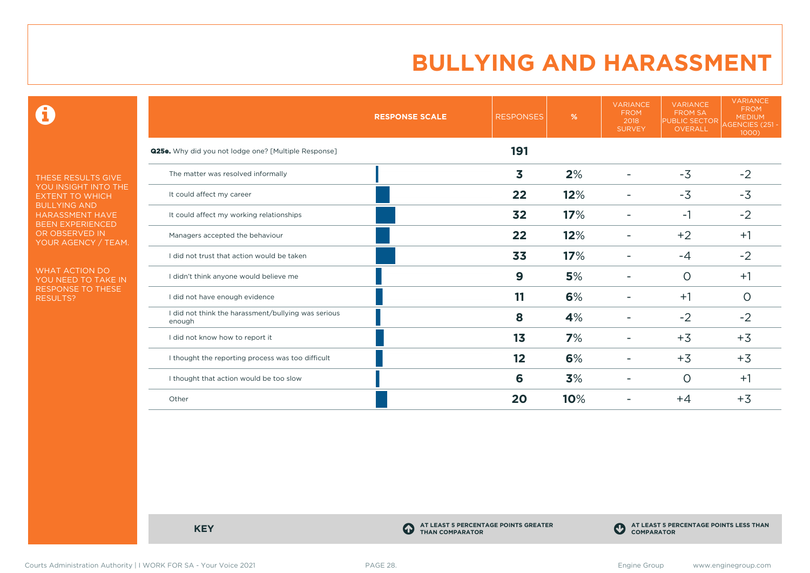$\mathbf \Theta$ 

THESE RESULTS GIVE YOU INSIGHT INTO THE EXTENT TO WHICH BULLYING AND HARASSMENT HAVE BEEN EXPERIENCED OR OBSERVED IN YOUR AGENCY / TEAM.

WHAT ACTION DO YOU NEED TO TAKE IN RESPONSE TO THESE RESULTS?

|                                                               | <b>RESPONSE SCALE</b> | <b>RESPONSES</b> | $\%$ | <b>VARIANCE</b><br><b>FROM</b><br>2018<br><b>SURVEY</b> | <b>VARIANCE</b><br><b>FROM SA</b><br><b>PUBLIC SECTOR</b><br>OVERALL | <b>VARIANCE</b><br><b>FROM</b><br><b>MEDIUM</b><br>AGENCIES (251 -<br>1000) |
|---------------------------------------------------------------|-----------------------|------------------|------|---------------------------------------------------------|----------------------------------------------------------------------|-----------------------------------------------------------------------------|
| Q25e. Why did you not lodge one? [Multiple Response]          |                       | 191              |      |                                                         |                                                                      |                                                                             |
| The matter was resolved informally                            |                       | 3                | 2%   |                                                         | $-3$                                                                 | $-2$                                                                        |
| It could affect my career                                     |                       | 22               | 12%  |                                                         | $-3$                                                                 | $-3$                                                                        |
| It could affect my working relationships                      |                       | 32               | 17%  |                                                         | $-1$                                                                 | $-2$                                                                        |
| Managers accepted the behaviour                               |                       | 22               | 12%  |                                                         | $+2$                                                                 | $+1$                                                                        |
| I did not trust that action would be taken                    |                       | 33               | 17%  |                                                         | $-4$                                                                 | $-2$                                                                        |
| I didn't think anyone would believe me                        |                       | $\boldsymbol{9}$ | 5%   |                                                         | $\circ$                                                              | $+1$                                                                        |
| I did not have enough evidence                                |                       | 11               | 6%   |                                                         | $+1$                                                                 | O                                                                           |
| I did not think the harassment/bullying was serious<br>enough |                       | 8                | 4%   |                                                         | $-2$                                                                 | $-2$                                                                        |
| I did not know how to report it                               |                       | 1 <sub>3</sub>   | 7%   |                                                         | $+3$                                                                 | $+3$                                                                        |
| I thought the reporting process was too difficult             |                       | 12               | 6%   |                                                         | $+3$                                                                 | $+3$                                                                        |
| I thought that action would be too slow                       |                       | 6                | 3%   |                                                         | $\circ$                                                              | $+1$                                                                        |
| Other                                                         |                       | 20               | 10%  |                                                         | $+4$                                                                 | $+3$                                                                        |

**KEY C** 

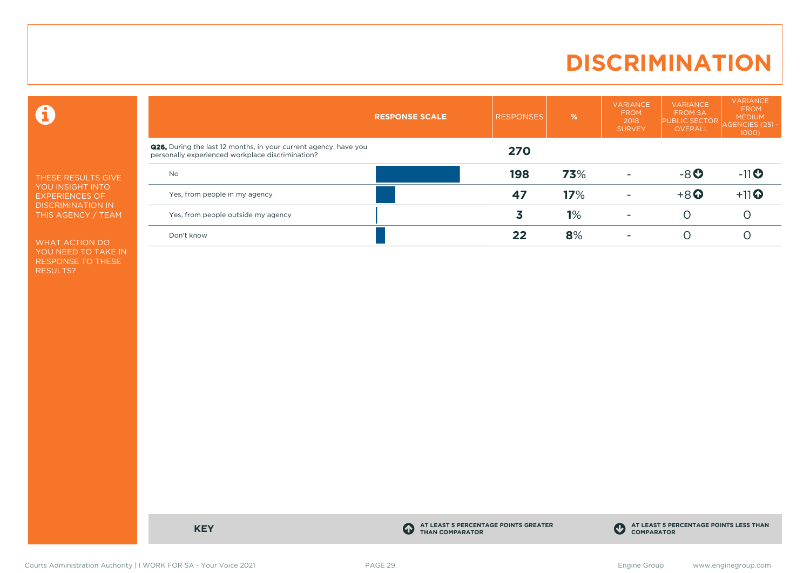# **DISCRIMINATION**

 $\mathbf \Theta$ 

THESE RESULTS GIVE YOU INSIGHT INTO EXPERIENCES OF DISCRIMINATION IN THIS AGENCY / TEAM

WHAT ACTION DO YOU NEED TO TAKE IN RESPONSE TO THESE RESULTS?

|                                                                                                                             | <b>RESPONSE SCALE</b> | <b>RESPONSES</b> | %   | <b>VARIANCE</b><br><b>FROM</b><br>2018<br><b>SURVEY</b> | <b>VARIANCE</b><br><b>FROM SA</b><br><b>PUBLIC SECTOR</b><br>OVERALL | <b>VARIANCE</b><br><b>FROM</b><br><b>MEDIUM</b><br>AGENCIES (251<br>$1000$ ) |
|-----------------------------------------------------------------------------------------------------------------------------|-----------------------|------------------|-----|---------------------------------------------------------|----------------------------------------------------------------------|------------------------------------------------------------------------------|
| <b>Q26.</b> During the last 12 months, in your current agency, have you<br>personally experienced workplace discrimination? |                       | 270              |     |                                                         |                                                                      |                                                                              |
| <b>No</b>                                                                                                                   |                       | 198              | 73% |                                                         | $-8o$                                                                | $-11$ <sup>O</sup>                                                           |
| Yes, from people in my agency                                                                                               |                       | 47               | 17% |                                                         | $+8$ <sup>O</sup>                                                    | $+11$ <sup>O</sup>                                                           |
| Yes, from people outside my agency                                                                                          |                       |                  | 1%  |                                                         |                                                                      |                                                                              |
| Don't know                                                                                                                  |                       | 22               | 8%  |                                                         |                                                                      |                                                                              |

**KEY C** 

**AT LEAST 5 PERCENTAGE POINTS GREATER THAN COMPARATOR**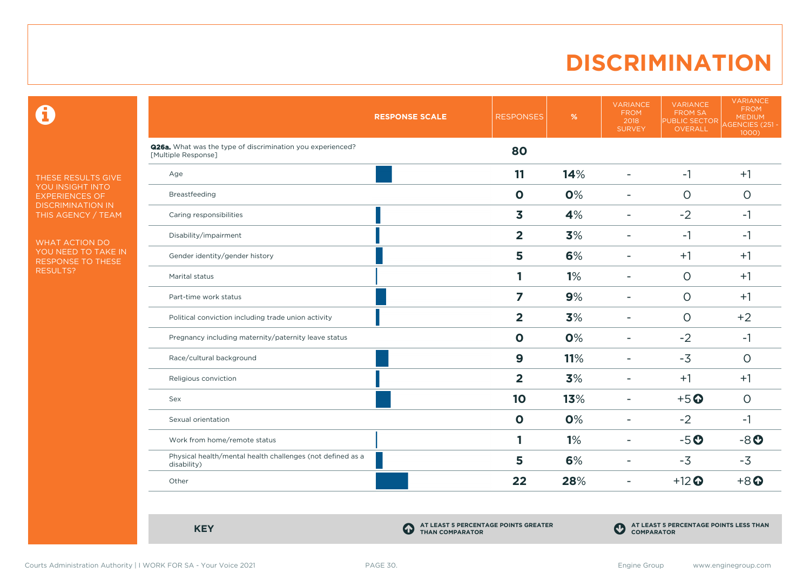### **DISCRIMINATION**

 $\mathbf \Theta$ 

THESE RESULTS GIVE YOU INSIGHT INTO EXPERIENCES OF DISCRIMINATION IN THIS AGENCY / TEAM

WHAT ACTION DO YOU NEED TO TAKE IN RESPONSE TO THESE RESULTS?

|                                                                                          | <b>RESPONSE SCALE</b> | <b>RESPONSES</b> | %   | <b>VARIANCE</b><br><b>FROM</b><br>2018<br><b>SURVEY</b> | <b>VARIANCE</b><br><b>FROM SA</b><br>PUBLIC SECTOR<br>OVERALL | <b>VARIANCE</b><br><b>FROM</b><br><b>MEDIUM</b><br><b>AGENCIES (251 -</b><br>1000) |
|------------------------------------------------------------------------------------------|-----------------------|------------------|-----|---------------------------------------------------------|---------------------------------------------------------------|------------------------------------------------------------------------------------|
| <b>Q26a.</b> What was the type of discrimination you experienced?<br>[Multiple Response] |                       | 80               |     |                                                         |                                                               |                                                                                    |
| Age                                                                                      |                       | 11               | 14% | $\blacksquare$                                          | $-1$                                                          | $+1$                                                                               |
| Breastfeeding                                                                            |                       | $\mathbf 0$      | 0%  | $\blacksquare$                                          | $\circ$                                                       | $\circ$                                                                            |
| Caring responsibilities                                                                  |                       | 3                | 4%  | $\blacksquare$                                          | $-2$                                                          | $-1$                                                                               |
| Disability/impairment                                                                    |                       | $\overline{2}$   | 3%  | $\blacksquare$                                          | $-1$                                                          | $-1$                                                                               |
| Gender identity/gender history                                                           |                       | 5                | 6%  | ۰                                                       | $+1$                                                          | $+1$                                                                               |
| Marital status                                                                           |                       | 1                | 1%  | $\equiv$                                                | $\circ$                                                       | $+1$                                                                               |
| Part-time work status                                                                    |                       | 7                | 9%  | $\blacksquare$                                          | $\circ$                                                       | $+1$                                                                               |
| Political conviction including trade union activity                                      |                       | $\overline{2}$   | 3%  | ۰                                                       | $\circ$                                                       | $+2$                                                                               |
| Pregnancy including maternity/paternity leave status                                     |                       | $\mathbf 0$      | 0%  | $\blacksquare$                                          | $-2$                                                          | -1                                                                                 |
| Race/cultural background                                                                 |                       | 9                | 11% | ۰                                                       | $-3$                                                          | $\circ$                                                                            |
| Religious conviction                                                                     |                       | $\overline{2}$   | 3%  | $\blacksquare$                                          | $+1$                                                          | $+1$                                                                               |
| Sex                                                                                      |                       | 10               | 13% | $\blacksquare$                                          | $+5$ <sup>O</sup>                                             | $\circ$                                                                            |
| Sexual orientation                                                                       |                       | $\mathbf 0$      | 0%  | ۰                                                       | $-2$                                                          | $-1$                                                                               |
| Work from home/remote status                                                             |                       | 1                | 1%  | ۰                                                       | $-5o$                                                         | $-8o$                                                                              |
| Physical health/mental health challenges (not defined as a<br>disability)                |                       | 5                | 6%  | $\overline{\phantom{a}}$                                | $-3$                                                          | $-3$                                                                               |
| Other                                                                                    |                       | 22               | 28% | $\blacksquare$                                          | $+12$ <sup>O</sup>                                            | $+8$ <sup><math>\odot</math></sup>                                                 |

**KEY C** 

**AT LEAST 5 PERCENTAGE POINTS GREATER THAN COMPARATOR**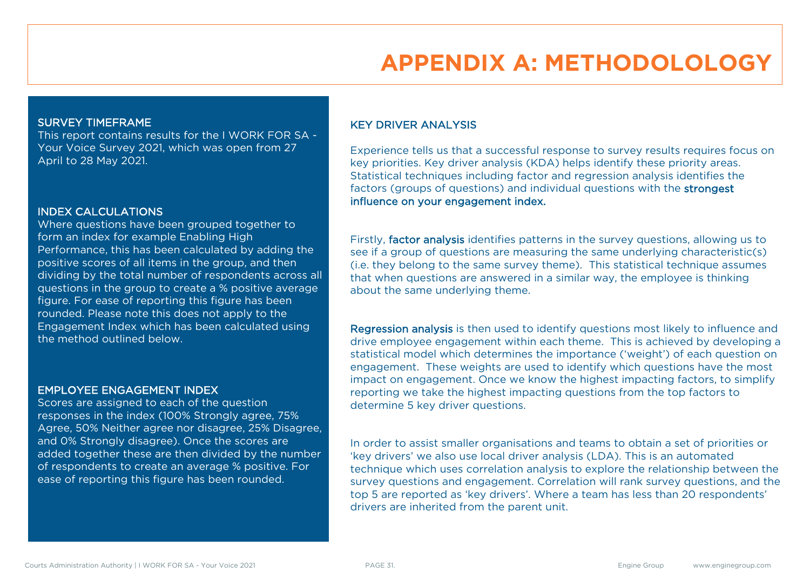# **APPENDIX A: METHODOLOLOGY**

#### SURVEY TIMEFRAME

This report contains results for the I WORK FOR SA - Your Voice Survey 2021, which was open from 27 April to 28 May 2021.

#### INDEX CALCULATIONS

Where questions have been grouped together to form an index for example Enabling High Performance, this has been calculated by adding the positive scores of all items in the group, and then dividing by the total number of respondents across all questions in the group to create a % positive average figure. For ease of reporting this figure has been rounded. Please note this does not apply to the Engagement Index which has been calculated using the method outlined below.

#### EMPLOYEE ENGAGEMENT INDEX

Scores are assigned to each of the question responses in the index (100% Strongly agree, 75% Agree, 50% Neither agree nor disagree, 25% Disagree, and 0% Strongly disagree). Once the scores are added together these are then divided by the number of respondents to create an average % positive. For ease of reporting this figure has been rounded.

#### KEY DRIVER ANALYSIS

Experience tells us that a successful response to survey results requires focus on key priorities. Key driver analysis (KDA) helps identify these priority areas. Statistical techniques including factor and regression analysis identifies the factors (groups of questions) and individual questions with the strongest influence on your engagement index.

Firstly, factor analysis identifies patterns in the survey questions, allowing us to see if a group of questions are measuring the same underlying characteristic(s) (i.e. they belong to the same survey theme). This statistical technique assumes that when questions are answered in a similar way, the employee is thinking about the same underlying theme.

Regression analysis is then used to identify questions most likely to influence and drive employee engagement within each theme. This is achieved by developing a statistical model which determines the importance ('weight') of each question on engagement. These weights are used to identify which questions have the most impact on engagement. Once we know the highest impacting factors, to simplify reporting we take the highest impacting questions from the top factors to determine 5 key driver questions.

In order to assist smaller organisations and teams to obtain a set of priorities or 'key drivers' we also use local driver analysis (LDA). This is an automated technique which uses correlation analysis to explore the relationship between the survey questions and engagement. Correlation will rank survey questions, and the top 5 are reported as 'key drivers'. Where a team has less than 20 respondents' drivers are inherited from the parent unit.